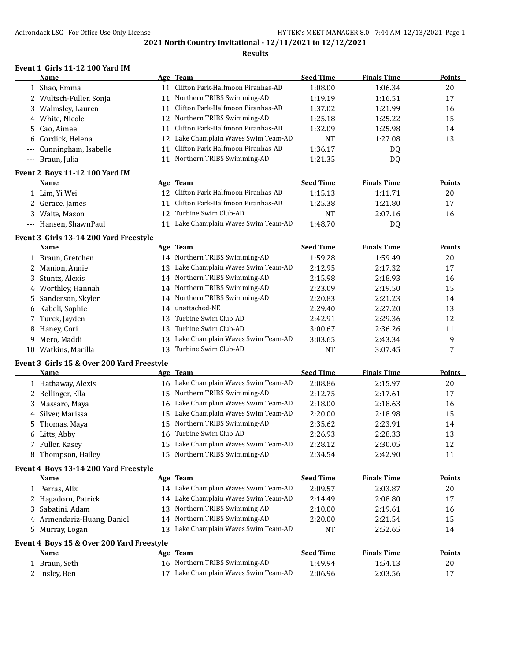### **Results**

## **Event 1 Girls 11-12 100 Yard IM**

| <b>Name</b>                           |     | Age Team                          | <b>Seed Time</b> | <b>Finals Time</b> | <b>Points</b> |
|---------------------------------------|-----|-----------------------------------|------------------|--------------------|---------------|
| 1 Shao, Emma                          |     | Clifton Park-Halfmoon Piranhas-AD | 1:08.00          | 1:06.34            | 20            |
| 2 Wultsch-Fuller, Sonja               | 11  | Northern TRIBS Swimming-AD        | 1:19.19          | 1:16.51            | 17            |
| 3 Walmsley, Lauren                    | 11  | Clifton Park-Halfmoon Piranhas-AD | 1:37.02          | 1:21.99            | 16            |
| 4 White, Nicole                       |     | 12 Northern TRIBS Swimming-AD     | 1:25.18          | 1:25.22            | 15            |
| 5 Cao, Aimee                          | 11  | Clifton Park-Halfmoon Piranhas-AD | 1:32.09          | 1:25.98            | 14            |
| 6 Cordick, Helena                     | 12  | Lake Champlain Waves Swim Team-AD | <b>NT</b>        | 1:27.08            | 13            |
| --- Cunningham, Isabelle              | 11  | Clifton Park-Halfmoon Piranhas-AD | 1:36.17          | DQ                 |               |
| --- Braun, Julia                      | 11  | Northern TRIBS Swimming-AD        | 1:21.35          | DQ                 |               |
| <b>Event 2 Boys 11-12 100 Yard IM</b> |     |                                   |                  |                    |               |
| <b>Name</b>                           |     | Age Team                          | <b>Seed Time</b> | <b>Finals Time</b> | <b>Points</b> |
| 1 Lim, Yi Wei                         | 12. | Clifton Park-Halfmoon Piranhas-AD | 1:15.13          | 1:11.71            | 20            |
| 2 Gerace, James                       |     | Clifton Park-Halfmoon Piranhas-AD | 1:25.38          | 1:21.80            | 17            |
|                                       |     |                                   |                  |                    |               |

| 3 Waite, Mason        | 12 Turbine Swim Club-AD              | <b>NT</b> | 2:07.16 |  |
|-----------------------|--------------------------------------|-----------|---------|--|
| --- Hansen, ShawnPaul | 11 Lake Champlain Waves Swim Team-AD | 1:48.70   | DO.     |  |

#### **Event 3 Girls 13-14 200 Yard Freestyle**

|     | <b>Name</b>         |     | Age Team                          | <b>Seed Time</b> | <b>Finals Time</b> | <b>Points</b> |
|-----|---------------------|-----|-----------------------------------|------------------|--------------------|---------------|
|     | 1 Braun, Gretchen   |     | 14 Northern TRIBS Swimming-AD     | 1:59.28          | 1:59.49            | 20            |
|     | 2 Manion, Annie     | 13  | Lake Champlain Waves Swim Team-AD | 2:12.95          | 2:17.32            | 17            |
|     | 3 Stuntz, Alexis    |     | 14 Northern TRIBS Swimming-AD     | 2:15.98          | 2:18.93            | 16            |
|     | 4 Worthley, Hannah  |     | 14 Northern TRIBS Swimming-AD     | 2:23.09          | 2:19.50            | 15            |
|     | 5 Sanderson, Skyler |     | 14 Northern TRIBS Swimming-AD     | 2:20.83          | 2:21.23            | 14            |
|     | 6 Kabeli, Sophie    | 14  | unattached-NE                     | 2:29.40          | 2:27.20            | 13            |
|     | 7 Turck, Jayden     | 13. | Turbine Swim Club-AD              | 2:42.91          | 2:29.36            | 12            |
|     | 8 Haney, Cori       | 13. | Turbine Swim Club-AD              | 3:00.67          | 2:36.26            | 11            |
| 9.  | Mero, Maddi         | 13. | Lake Champlain Waves Swim Team-AD | 3:03.65          | 2:43.34            | 9             |
| 10- | Watkins, Marilla    | 13. | Turbine Swim Club-AD              | NT               | 3:07.45            |               |

### **Event 3 Girls 15 & Over 200 Yard Freestyle**

| <b>Name</b>        | Age Team                             | <b>Seed Time</b> | <b>Finals Time</b> | <b>Points</b> |
|--------------------|--------------------------------------|------------------|--------------------|---------------|
| 1 Hathaway, Alexis | 16 Lake Champlain Waves Swim Team-AD | 2:08.86          | 2:15.97            | 20            |
| 2 Bellinger, Ella  | 15 Northern TRIBS Swimming-AD        | 2:12.75          | 2:17.61            | 17            |
| 3 Massaro, Maya    | 16 Lake Champlain Waves Swim Team-AD | 2:18.00          | 2:18.63            | 16            |
| 4 Silver, Marissa  | 15 Lake Champlain Waves Swim Team-AD | 2:20.00          | 2:18.98            | 15            |
| 5 Thomas, Maya     | 15 Northern TRIBS Swimming-AD        | 2:35.62          | 2:23.91            | 14            |
| 6 Litts, Abby      | 16 Turbine Swim Club-AD              | 2:26.93          | 2:28.33            | 13            |
| 7 Fuller, Kasey    | 15 Lake Champlain Waves Swim Team-AD | 2:28.12          | 2:30.05            | 12            |
| 8 Thompson, Hailey | 15 Northern TRIBS Swimming-AD        | 2:34.54          | 2:42.90            | 11            |
| $\blacksquare$     |                                      |                  |                    |               |

# **Event 4 Boys 13-14 200 Yard Freestyle**

| Name                                      |     | Age Team                             | <b>Seed Time</b> | <b>Finals Time</b> | <b>Points</b> |
|-------------------------------------------|-----|--------------------------------------|------------------|--------------------|---------------|
| 1 Perras, Alix                            |     | 14 Lake Champlain Waves Swim Team-AD | 2:09.57          | 2:03.87            | 20            |
| 2 Hagadorn, Patrick                       |     | 14 Lake Champlain Waves Swim Team-AD | 2:14.49          | 2:08.80            | 17            |
| 3 Sabatini, Adam                          |     | 13 Northern TRIBS Swimming-AD        | 2:10.00          | 2:19.61            | 16            |
| 4 Armendariz-Huang, Daniel                |     | 14 Northern TRIBS Swimming-AD        | 2:20.00          | 2:21.54            | 15            |
| 5 Murray, Logan                           | 13. | Lake Champlain Waves Swim Team-AD    | NT               | 2:52.65            | 14            |
| Event 4 Boys 15 & Over 200 Yard Freestyle |     |                                      |                  |                    |               |
| <b>Name</b>                               |     | Age Team                             | <b>Seed Time</b> | <b>Finals Time</b> | <b>Points</b> |
| 1 Braun, Seth                             |     | 16 Northern TRIBS Swimming-AD        | 1:49.94          | 1:54.13            | 20            |
| 2 Insley, Ben                             |     | Lake Champlain Waves Swim Team-AD    | 2:06.96          | 2:03.56            | 17            |
|                                           |     |                                      |                  |                    |               |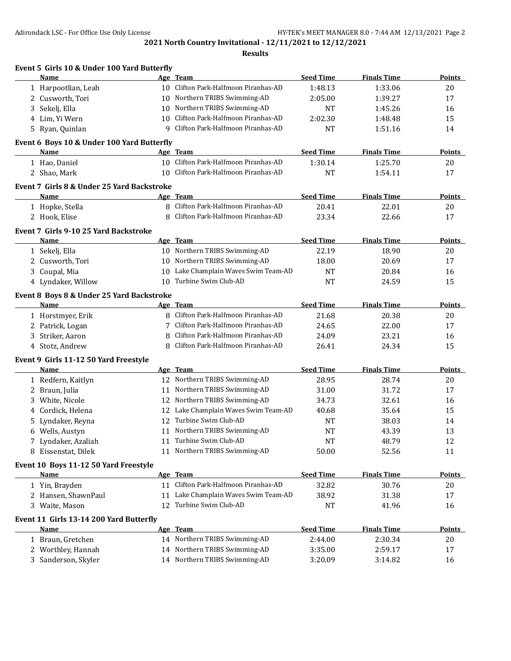|   | Event 5 Girls 10 & Under 100 Yard Butterfly |    |                                      |                  |                    |               |
|---|---------------------------------------------|----|--------------------------------------|------------------|--------------------|---------------|
|   | Name                                        |    | Age Team                             | <b>Seed Time</b> | <b>Finals Time</b> | <b>Points</b> |
|   | 1 Harpootlian, Leah                         |    | 10 Clifton Park-Halfmoon Piranhas-AD | 1:48.13          | 1:33.06            | 20            |
|   | 2 Cusworth, Tori                            | 10 | Northern TRIBS Swimming-AD           | 2:05.00          | 1:39.27            | 17            |
| 3 | Sekelj, Ella                                | 10 | Northern TRIBS Swimming-AD           | <b>NT</b>        | 1:45.26            | 16            |
|   | 4 Lim, Yi Wern                              | 10 | Clifton Park-Halfmoon Piranhas-AD    | 2:02.30          | 1:48.48            | 15            |
|   | 5 Ryan, Quinlan                             | 9  | Clifton Park-Halfmoon Piranhas-AD    | <b>NT</b>        | 1:51.16            | 14            |
|   | Event 6 Boys 10 & Under 100 Yard Butterfly  |    |                                      |                  |                    |               |
|   | Name                                        |    | Age Team                             | <b>Seed Time</b> | <b>Finals Time</b> | Points        |
|   | 1 Hao, Daniel                               |    | 10 Clifton Park-Halfmoon Piranhas-AD | 1:30.14          | 1:25.70            | 20            |
|   | 2 Shao, Mark                                | 10 | Clifton Park-Halfmoon Piranhas-AD    | <b>NT</b>        | 1:54.11            | 17            |
|   | Event 7 Girls 8 & Under 25 Yard Backstroke  |    |                                      |                  |                    |               |
|   | Name                                        |    | Age Team                             | <b>Seed Time</b> | <b>Finals Time</b> | Points        |
|   | 1 Hopke, Stella                             | 8  | Clifton Park-Halfmoon Piranhas-AD    | 20.41            | 22.01              | 20            |
|   | 2 Hook, Elise                               | 8  | Clifton Park-Halfmoon Piranhas-AD    | 23.34            | 22.66              | 17            |
|   | Event 7 Girls 9-10 25 Yard Backstroke       |    |                                      |                  |                    |               |
|   | Name                                        |    | Age Team                             | <b>Seed Time</b> | <b>Finals Time</b> | <b>Points</b> |
|   | 1 Sekelj, Ella                              |    | 10 Northern TRIBS Swimming-AD        | 22.19            | 18.90              | 20            |
|   | 2 Cusworth, Tori                            |    | 10 Northern TRIBS Swimming-AD        | 18.00            | 20.69              | 17            |
|   | 3 Coupal, Mia                               | 10 | Lake Champlain Waves Swim Team-AD    | <b>NT</b>        | 20.84              | 16            |
|   | 4 Lyndaker, Willow                          | 10 | Turbine Swim Club-AD                 | <b>NT</b>        | 24.59              | 15            |
|   | Event 8 Boys 8 & Under 25 Yard Backstroke   |    |                                      |                  |                    |               |
|   | Name                                        |    | Age Team                             | <b>Seed Time</b> | <b>Finals Time</b> | Points        |
|   | 1 Horstmyer, Erik                           | 8  | Clifton Park-Halfmoon Piranhas-AD    | 21.68            | 20.38              | 20            |
|   | 2 Patrick, Logan                            | 7  | Clifton Park-Halfmoon Piranhas-AD    | 24.65            | 22.00              | 17            |
| 3 | Striker, Aaron                              | 8  | Clifton Park-Halfmoon Piranhas-AD    | 24.09            | 23.21              | 16            |
|   | 4 Stotz, Andrew                             | 8  | Clifton Park-Halfmoon Piranhas-AD    | 26.41            | 24.34              | 15            |
|   | Event 9 Girls 11-12 50 Yard Freestyle       |    |                                      |                  |                    |               |
|   | Name                                        |    | Age Team                             | <b>Seed Time</b> | <b>Finals Time</b> | Points        |
|   | 1 Redfern, Kaitlyn                          |    | 12 Northern TRIBS Swimming-AD        | 28.95            | 28.74              | 20            |
| 2 | Braun, Julia                                | 11 | Northern TRIBS Swimming-AD           | 31.00            | 31.72              | 17            |
| 3 | White, Nicole                               | 12 | Northern TRIBS Swimming-AD           | 34.73            | 32.61              | 16            |
| 4 | Cordick, Helena                             |    | 12 Lake Champlain Waves Swim Team-AD | 40.68            | 35.64              | 15            |
| 5 | Lyndaker, Reyna                             | 12 | Turbine Swim Club-AD                 | <b>NT</b>        | 38.03              | 14            |
|   | 6 Wells, Austyn                             |    | 11 Northern TRIBS Swimming-AD        | <b>NT</b>        | 43.39              | 13            |
|   | 7 Lyndaker, Azaliah                         |    | 11 Turbine Swim Club-AD              | <b>NT</b>        | 48.79              | 12            |
|   | 8 Eissenstat, Dilek                         |    | 11 Northern TRIBS Swimming-AD        | 50.00            | 52.56              | 11            |
|   | Event 10 Boys 11-12 50 Yard Freestyle       |    |                                      |                  |                    |               |
|   | <b>Name</b>                                 |    | Age Team                             | <b>Seed Time</b> | <b>Finals Time</b> | Points        |
|   | 1 Yin, Brayden                              |    | 11 Clifton Park-Halfmoon Piranhas-AD | 32.82            | 30.76              | 20            |
|   | 2 Hansen, ShawnPaul                         | 11 | Lake Champlain Waves Swim Team-AD    | 38.92            | 31.38              | 17            |
|   | 3 Waite, Mason                              | 12 | Turbine Swim Club-AD                 | <b>NT</b>        | 41.96              | 16            |
|   | Event 11 Girls 13-14 200 Yard Butterfly     |    |                                      |                  |                    |               |
|   | Name                                        |    | Age Team                             | <b>Seed Time</b> | <b>Finals Time</b> | <b>Points</b> |
|   | 1 Braun, Gretchen                           |    | 14 Northern TRIBS Swimming-AD        | 2:44.00          | 2:30.34            | 20            |
|   | 2 Worthley, Hannah                          |    | 14 Northern TRIBS Swimming-AD        | 3:35.00          | 2:59.17            | 17            |
| 3 | Sanderson, Skyler                           |    | 14 Northern TRIBS Swimming-AD        | 3:20.09          | 3:14.82            | 16            |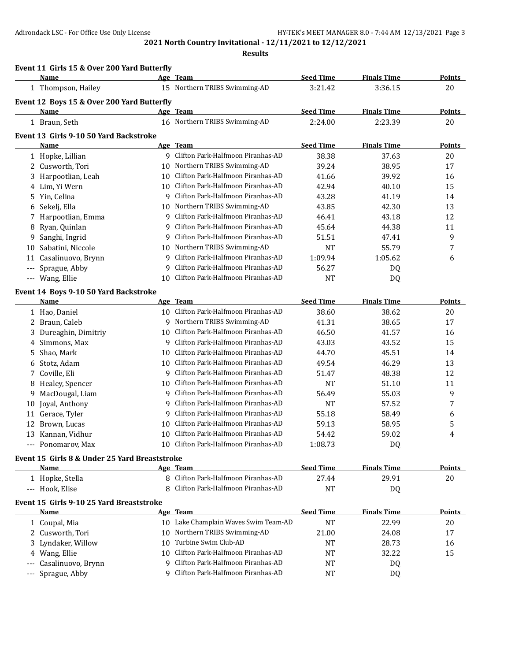|     | Event 11 Girls 15 & Over 200 Yard Butterfly   |    |                                      |                  |                    |               |
|-----|-----------------------------------------------|----|--------------------------------------|------------------|--------------------|---------------|
|     | Name                                          |    | Age Team                             | <b>Seed Time</b> | <b>Finals Time</b> | <b>Points</b> |
|     | 1 Thompson, Hailey                            |    | 15 Northern TRIBS Swimming-AD        | 3:21.42          | 3:36.15            | 20            |
|     | Event 12 Boys 15 & Over 200 Yard Butterfly    |    |                                      |                  |                    |               |
|     | Name                                          |    | Age Team                             | <b>Seed Time</b> | <b>Finals Time</b> | <b>Points</b> |
|     | 1 Braun, Seth                                 |    | 16 Northern TRIBS Swimming-AD        | 2:24.00          | 2:23.39            | 20            |
|     | Event 13 Girls 9-10 50 Yard Backstroke        |    |                                      |                  |                    |               |
|     | Name                                          |    | Age Team                             | <b>Seed Time</b> | <b>Finals Time</b> | Points        |
|     | 1 Hopke, Lillian                              |    | 9 Clifton Park-Halfmoon Piranhas-AD  | 38.38            | 37.63              | 20            |
|     | 2 Cusworth, Tori                              | 10 | Northern TRIBS Swimming-AD           | 39.24            | 38.95              | 17            |
| 3   | Harpootlian, Leah                             | 10 | Clifton Park-Halfmoon Piranhas-AD    | 41.66            | 39.92              | 16            |
|     | 4 Lim, Yi Wern                                | 10 | Clifton Park-Halfmoon Piranhas-AD    | 42.94            | 40.10              | 15            |
| 5   | Yin, Celina                                   | 9  | Clifton Park-Halfmoon Piranhas-AD    | 43.28            | 41.19              | 14            |
| 6   | Sekelj, Ella                                  | 10 | Northern TRIBS Swimming-AD           | 43.85            | 42.30              | 13            |
| 7   | Harpootlian, Emma                             | 9  | Clifton Park-Halfmoon Piranhas-AD    | 46.41            | 43.18              | 12            |
| 8   | Ryan, Quinlan                                 | 9  | Clifton Park-Halfmoon Piranhas-AD    | 45.64            | 44.38              | 11            |
| 9   | Sanghi, Ingrid                                | 9  | Clifton Park-Halfmoon Piranhas-AD    | 51.51            | 47.41              | 9             |
| 10  | Sabatini, Niccole                             | 10 | Northern TRIBS Swimming-AD           | <b>NT</b>        | 55.79              | 7             |
| 11  | Casalinuovo, Brynn                            | 9  | Clifton Park-Halfmoon Piranhas-AD    | 1:09.94          | 1:05.62            | 6             |
| --- | Sprague, Abby                                 | 9  | Clifton Park-Halfmoon Piranhas-AD    | 56.27            | DQ                 |               |
|     | --- Wang, Ellie                               | 10 | Clifton Park-Halfmoon Piranhas-AD    | <b>NT</b>        | DQ                 |               |
|     | Event 14 Boys 9-10 50 Yard Backstroke         |    |                                      |                  |                    |               |
|     | Name                                          |    | Age Team                             | <b>Seed Time</b> | <b>Finals Time</b> | <b>Points</b> |
|     | 1 Hao, Daniel                                 |    | 10 Clifton Park-Halfmoon Piranhas-AD | 38.60            | 38.62              | 20            |
|     | 2 Braun, Caleb                                | 9  | Northern TRIBS Swimming-AD           | 41.31            | 38.65              | 17            |
|     | 3 Dureaghin, Dimitriy                         | 10 | Clifton Park-Halfmoon Piranhas-AD    | 46.50            | 41.57              | 16            |
| 4   | Simmons, Max                                  | 9  | Clifton Park-Halfmoon Piranhas-AD    | 43.03            | 43.52              | 15            |
| 5   | Shao, Mark                                    | 10 | Clifton Park-Halfmoon Piranhas-AD    | 44.70            | 45.51              | 14            |
| 6   | Stotz, Adam                                   |    | 10 Clifton Park-Halfmoon Piranhas-AD | 49.54            | 46.29              | 13            |
| 7   | Coville, Eli                                  | 9  | Clifton Park-Halfmoon Piranhas-AD    | 51.47            | 48.38              | 12            |
| 8   | Healey, Spencer                               | 10 | Clifton Park-Halfmoon Piranhas-AD    | <b>NT</b>        | 51.10              | 11            |
| 9   | MacDougal, Liam                               | 9  | Clifton Park-Halfmoon Piranhas-AD    | 56.49            | 55.03              | 9             |
| 10  | Joyal, Anthony                                | 9  | Clifton Park-Halfmoon Piranhas-AD    | <b>NT</b>        | 57.52              | 7             |
| 11  | Gerace, Tyler                                 | 9  | Clifton Park-Halfmoon Piranhas-AD    | 55.18            | 58.49              | 6             |
| 12  | Brown, Lucas                                  | 10 | Clifton Park-Halfmoon Piranhas-AD    | 59.13            | 58.95              | 5             |
|     | 13 Kannan, Vidhur                             |    | 10 Clifton Park-Halfmoon Piranhas-AD | 54.42            | 59.02              | 4             |
|     | --- Ponomarov, Max                            |    | 10 Clifton Park-Halfmoon Piranhas-AD | 1:08.73          | DQ                 |               |
|     | Event 15 Girls 8 & Under 25 Yard Breaststroke |    |                                      |                  |                    |               |
|     | <b>Name</b>                                   |    | <u>Age Team</u>                      | <b>Seed Time</b> | <b>Finals Time</b> | <b>Points</b> |
|     | 1 Hopke, Stella                               |    | 8 Clifton Park-Halfmoon Piranhas-AD  | 27.44            | 29.91              | 20            |
|     | --- Hook, Elise                               |    | Clifton Park-Halfmoon Piranhas-AD    | <b>NT</b>        | DQ                 |               |
|     | Event 15 Girls 9-10 25 Yard Breaststroke      |    |                                      |                  |                    |               |
|     | Name                                          |    | Age Team                             | <b>Seed Time</b> | <b>Finals Time</b> | <b>Points</b> |
|     | 1 Coupal, Mia                                 |    | 10 Lake Champlain Waves Swim Team-AD | <b>NT</b>        | 22.99              | 20            |
|     | 2 Cusworth, Tori                              | 10 | Northern TRIBS Swimming-AD           | 21.00            | 24.08              | 17            |
|     | 3 Lyndaker, Willow                            | 10 | Turbine Swim Club-AD                 | <b>NT</b>        | 28.73              | 16            |
|     | 4 Wang, Ellie                                 | 10 | Clifton Park-Halfmoon Piranhas-AD    | NT               | 32.22              | 15            |
|     | Casalinuovo, Brynn                            | 9  | Clifton Park-Halfmoon Piranhas-AD    | <b>NT</b>        | DQ                 |               |
| --- | Sprague, Abby                                 | 9  | Clifton Park-Halfmoon Piranhas-AD    | <b>NT</b>        | DQ                 |               |
|     |                                               |    |                                      |                  |                    |               |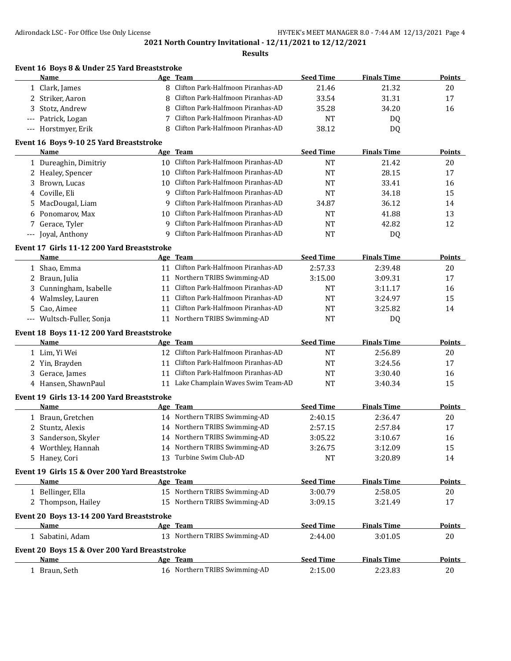|                     | Event 16 Boys 8 & Under 25 Yard Breaststroke<br>Name |    | Age Team                             | <b>Seed Time</b> | <b>Finals Time</b> | Points        |
|---------------------|------------------------------------------------------|----|--------------------------------------|------------------|--------------------|---------------|
|                     | 1 Clark, James                                       |    | 8 Clifton Park-Halfmoon Piranhas-AD  | 21.46            | 21.32              | 20            |
| 2                   | Striker, Aaron                                       |    | Clifton Park-Halfmoon Piranhas-AD    | 33.54            | 31.31              | 17            |
| 3                   | Stotz, Andrew                                        | 8  | Clifton Park-Halfmoon Piranhas-AD    | 35.28            | 34.20              | 16            |
|                     | --- Patrick, Logan                                   |    | Clifton Park-Halfmoon Piranhas-AD    | <b>NT</b>        | DQ                 |               |
|                     | --- Horstmyer, Erik                                  | 8  | Clifton Park-Halfmoon Piranhas-AD    | 38.12            | DQ                 |               |
|                     | Event 16 Boys 9-10 25 Yard Breaststroke              |    |                                      |                  |                    |               |
|                     | Name                                                 |    | Age Team                             | <b>Seed Time</b> | <b>Finals Time</b> | Points        |
|                     | 1 Dureaghin, Dimitriy                                |    | 10 Clifton Park-Halfmoon Piranhas-AD | <b>NT</b>        | 21.42              | 20            |
|                     | 2 Healey, Spencer                                    |    | 10 Clifton Park-Halfmoon Piranhas-AD | <b>NT</b>        | 28.15              | 17            |
| 3                   | Brown, Lucas                                         |    | 10 Clifton Park-Halfmoon Piranhas-AD | <b>NT</b>        | 33.41              | 16            |
| 4                   | Coville, Eli                                         | 9  | Clifton Park-Halfmoon Piranhas-AD    | <b>NT</b>        | 34.18              | 15            |
| 5                   | MacDougal, Liam                                      | 9  | Clifton Park-Halfmoon Piranhas-AD    | 34.87            | 36.12              | 14            |
| 6                   | Ponomarov, Max                                       | 10 | Clifton Park-Halfmoon Piranhas-AD    | <b>NT</b>        | 41.88              | 13            |
| 7                   | Gerace, Tyler                                        | 9  | Clifton Park-Halfmoon Piranhas-AD    | <b>NT</b>        | 42.82              | 12            |
| $-\, -\, -$         | Joyal, Anthony                                       | 9  | Clifton Park-Halfmoon Piranhas-AD    | <b>NT</b>        | DQ                 |               |
|                     | Event 17 Girls 11-12 200 Yard Breaststroke           |    |                                      |                  |                    |               |
|                     | <b>Name</b>                                          |    | Age Team                             | <b>Seed Time</b> | <b>Finals Time</b> | Points        |
|                     | 1 Shao, Emma                                         |    | 11 Clifton Park-Halfmoon Piranhas-AD | 2:57.33          | 2:39.48            | 20            |
| 2                   | Braun, Julia                                         |    | 11 Northern TRIBS Swimming-AD        | 3:15.00          | 3:09.31            | 17            |
| 3                   | Cunningham, Isabelle                                 | 11 | Clifton Park-Halfmoon Piranhas-AD    | <b>NT</b>        | 3:11.17            | 16            |
| 4                   | Walmsley, Lauren                                     | 11 | Clifton Park-Halfmoon Piranhas-AD    | <b>NT</b>        | 3:24.97            | 15            |
| 5                   | Cao, Aimee                                           | 11 | Clifton Park-Halfmoon Piranhas-AD    | NT               | 3:25.82            | 14            |
| $\qquad \qquad - -$ | Wultsch-Fuller, Sonja                                | 11 | Northern TRIBS Swimming-AD           | <b>NT</b>        | DQ                 |               |
|                     | Event 18 Boys 11-12 200 Yard Breaststroke            |    |                                      |                  |                    |               |
|                     | Name                                                 |    | Age Team                             | <b>Seed Time</b> | <b>Finals Time</b> | <b>Points</b> |
|                     | 1 Lim, Yi Wei                                        |    | 12 Clifton Park-Halfmoon Piranhas-AD | <b>NT</b>        | 2:56.89            | 20            |
|                     | 2 Yin, Brayden                                       |    | 11 Clifton Park-Halfmoon Piranhas-AD | <b>NT</b>        | 3:24.56            | 17            |
| 3                   | Gerace, James                                        |    | 11 Clifton Park-Halfmoon Piranhas-AD | NT               | 3:30.40            | 16            |
|                     | 4 Hansen, ShawnPaul                                  |    | 11 Lake Champlain Waves Swim Team-AD | <b>NT</b>        | 3:40.34            | 15            |
|                     | Event 19 Girls 13-14 200 Yard Breaststroke           |    |                                      |                  |                    |               |
|                     | Name                                                 |    | Age Team                             | <b>Seed Time</b> | <b>Finals Time</b> | <b>Points</b> |
|                     | 1 Braun, Gretchen                                    |    | 14 Northern TRIBS Swimming-AD        | 2:40.15          | 2:36.47            | 20            |
|                     | 2 Stuntz, Alexis                                     |    | 14 Northern TRIBS Swimming-AD        | 2:57.15          | 2:57.84            | 17            |
|                     | 3 Sanderson, Skyler                                  |    | 14 Northern TRIBS Swimming-AD        | 3:05.22          | 3:10.67            | 16            |
|                     | 4 Worthley, Hannah                                   |    | 14 Northern TRIBS Swimming-AD        | 3:26.75          | 3:12.09            | 15            |
|                     | 5 Haney, Cori                                        |    | 13 Turbine Swim Club-AD              | NT               | 3:20.89            | 14            |
|                     | Event 19 Girls 15 & Over 200 Yard Breaststroke       |    |                                      |                  |                    |               |
|                     | Name                                                 |    | Age Team                             | <b>Seed Time</b> | <b>Finals Time</b> | <b>Points</b> |
|                     | 1 Bellinger, Ella                                    |    | 15 Northern TRIBS Swimming-AD        | 3:00.79          | 2:58.05            | 20            |
|                     | 2 Thompson, Hailey                                   |    | 15 Northern TRIBS Swimming-AD        | 3:09.15          | 3:21.49            | 17            |
|                     | Event 20 Boys 13-14 200 Yard Breaststroke            |    |                                      |                  |                    |               |
|                     | Name                                                 |    | Age Team                             | <b>Seed Time</b> | <b>Finals Time</b> | <b>Points</b> |
|                     | 1 Sabatini, Adam                                     |    | 13 Northern TRIBS Swimming-AD        | 2:44.00          | 3:01.05            | 20            |
|                     | Event 20 Boys 15 & Over 200 Yard Breaststroke        |    |                                      |                  |                    |               |
|                     | Name                                                 |    | Age Team                             | <b>Seed Time</b> | <b>Finals Time</b> | <b>Points</b> |
|                     | 1 Braun, Seth                                        |    | 16 Northern TRIBS Swimming-AD        | 2:15.00          | 2:23.83            | 20            |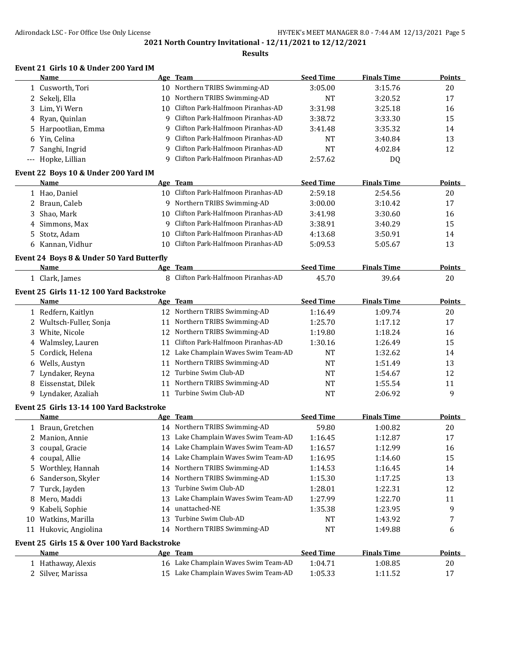### **Results**

## **Event 21 Girls 10 & Under 200 Yard IM**

|    | Name                                             |    | Age Team                             | <b>Seed Time</b> | <b>Finals Time</b> | <b>Points</b> |
|----|--------------------------------------------------|----|--------------------------------------|------------------|--------------------|---------------|
|    | 1 Cusworth, Tori                                 | 10 | Northern TRIBS Swimming-AD           | 3:05.00          | 3:15.76            | 20            |
| 2  | Sekelj, Ella                                     | 10 | Northern TRIBS Swimming-AD           | <b>NT</b>        | 3:20.52            | 17            |
| 3  | Lim, Yi Wern                                     | 10 | Clifton Park-Halfmoon Piranhas-AD    | 3:31.98          | 3:25.18            | 16            |
| 4  | Ryan, Quinlan                                    | 9  | Clifton Park-Halfmoon Piranhas-AD    | 3:38.72          | 3:33.30            | 15            |
| 5  | Harpootlian, Emma                                | 9  | Clifton Park-Halfmoon Piranhas-AD    | 3:41.48          | 3:35.32            | 14            |
| 6  | Yin, Celina                                      | 9  | Clifton Park-Halfmoon Piranhas-AD    | NT               | 3:40.84            | 13            |
| 7  | Sanghi, Ingrid                                   | 9  | Clifton Park-Halfmoon Piranhas-AD    | <b>NT</b>        | 4:02.84            | 12            |
|    | --- Hopke, Lillian                               | q  | Clifton Park-Halfmoon Piranhas-AD    | 2:57.62          | DQ                 |               |
|    | Event 22 Boys 10 & Under 200 Yard IM             |    |                                      |                  |                    |               |
|    | Name                                             |    | Age Team                             | <b>Seed Time</b> | <b>Finals Time</b> | <b>Points</b> |
|    | 1 Hao, Daniel                                    |    | 10 Clifton Park-Halfmoon Piranhas-AD | 2:59.18          | 2:54.56            | 20            |
| 2  | Braun, Caleb                                     |    | 9 Northern TRIBS Swimming-AD         | 3:00.00          | 3:10.42            | 17            |
| 3  | Shao, Mark                                       | 10 | Clifton Park-Halfmoon Piranhas-AD    | 3:41.98          | 3:30.60            | 16            |
| 4  | Simmons, Max                                     | 9  | Clifton Park-Halfmoon Piranhas-AD    | 3:38.91          | 3:40.29            | 15            |
| 5  | Stotz, Adam                                      | 10 | Clifton Park-Halfmoon Piranhas-AD    | 4:13.68          | 3:50.91            | 14            |
|    | 6 Kannan, Vidhur                                 | 10 | Clifton Park-Halfmoon Piranhas-AD    | 5:09.53          | 5:05.67            | 13            |
|    | Event 24 Boys 8 & Under 50 Yard Butterfly        |    |                                      |                  |                    |               |
|    | <b>Name</b>                                      |    | Age Team                             | <b>Seed Time</b> | <b>Finals Time</b> | <b>Points</b> |
|    | 1 Clark, James                                   |    | 8 Clifton Park-Halfmoon Piranhas-AD  | 45.70            | 39.64              | 20            |
|    | Event 25 Girls 11-12 100 Yard Backstroke         |    |                                      |                  |                    |               |
|    | Name                                             |    | Age Team                             | <b>Seed Time</b> | <b>Finals Time</b> | Points        |
|    | 1 Redfern, Kaitlyn                               |    | 12 Northern TRIBS Swimming-AD        | 1:16.49          | 1:09.74            | 20            |
|    | 2 Wultsch-Fuller, Sonja                          | 11 | Northern TRIBS Swimming-AD           | 1:25.70          | 1:17.12            | 17            |
|    | 3 White, Nicole                                  |    | 12 Northern TRIBS Swimming-AD        | 1:19.80          | 1:18.24            | 16            |
|    | 4 Walmsley, Lauren                               | 11 | Clifton Park-Halfmoon Piranhas-AD    | 1:30.16          | 1:26.49            | 15            |
| 5. | Cordick, Helena                                  |    | 12 Lake Champlain Waves Swim Team-AD | NT               | 1:32.62            | 14            |
|    | 6 Wells, Austyn                                  | 11 | Northern TRIBS Swimming-AD           | NT               | 1:51.49            | 13            |
| 7  | Lyndaker, Reyna                                  | 12 | Turbine Swim Club-AD                 | NT               | 1:54.67            | 12            |
| 8  | Eissenstat, Dilek                                | 11 | Northern TRIBS Swimming-AD           | NT               | 1:55.54            | 11            |
|    | 9 Lyndaker, Azaliah                              |    | 11 Turbine Swim Club-AD              | <b>NT</b>        | 2:06.92            | 9             |
|    |                                                  |    |                                      |                  |                    |               |
|    | Event 25 Girls 13-14 100 Yard Backstroke<br>Name |    | Age Team                             | <b>Seed Time</b> | <b>Finals Time</b> | <b>Points</b> |
|    | 1 Braun, Gretchen                                |    | 14 Northern TRIBS Swimming-AD        | 59.80            | 1:00.82            | 20            |
|    | 2 Manion, Annie                                  |    | 13 Lake Champlain Waves Swim Team-AD | 1:16.45          | 1:12.87            | 17            |
|    |                                                  |    | 14 Lake Champlain Waves Swim Team-AD | 1:16.57          | 1:12.99            | 16            |
|    | 3 coupal, Gracie<br>4 coupal, Allie              |    | 14 Lake Champlain Waves Swim Team-AD | 1:16.95          | 1:14.60            | 15            |
|    |                                                  |    | 14 Northern TRIBS Swimming-AD        |                  |                    |               |
|    | 5 Worthley, Hannah                               |    | 14 Northern TRIBS Swimming-AD        | 1:14.53          | 1:16.45            | 14            |
| 6  | Sanderson, Skyler                                |    | Turbine Swim Club-AD                 | 1:15.30          | 1:17.25            | 13            |
| 7  | Turck, Jayden                                    | 13 |                                      | 1:28.01          | 1:22.31            | 12            |
| 8  | Mero, Maddi                                      | 13 | Lake Champlain Waves Swim Team-AD    | 1:27.99          | 1:22.70            | 11            |
| 9. | Kabeli, Sophie                                   | 14 | unattached-NE                        | 1:35.38          | 1:23.95            | 9             |
| 10 | Watkins, Marilla                                 | 13 | Turbine Swim Club-AD                 | NT               | 1:43.92            | 7             |
|    | 11 Hukovic, Angiolina                            |    | 14 Northern TRIBS Swimming-AD        | NT               | 1:49.88            | 6             |
|    | Event 25 Girls 15 & Over 100 Yard Backstroke     |    |                                      |                  |                    |               |
|    | Name                                             |    | Age Team                             | <b>Seed Time</b> | <b>Finals Time</b> | <b>Points</b> |
|    | 1 Hathaway, Alexis                               |    | 16 Lake Champlain Waves Swim Team-AD | 1:04.71          | 1:08.85            | 20            |
|    | 2 Silver, Marissa                                |    | 15 Lake Champlain Waves Swim Team-AD | 1:05.33          | 1:11.52            | $17\,$        |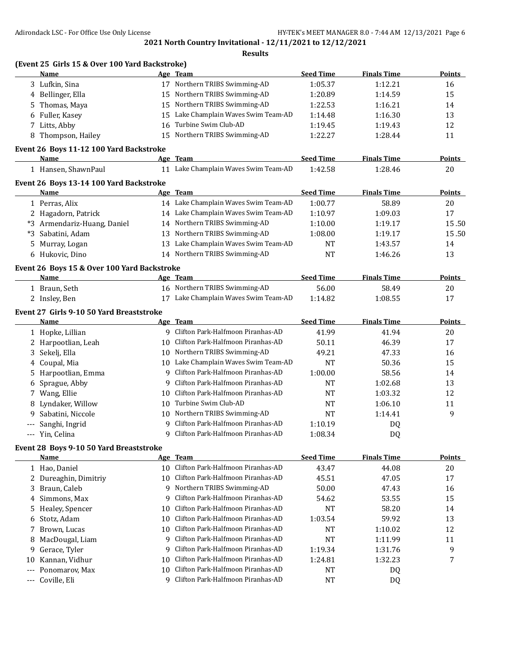| 17 Northern TRIBS Swimming-AD<br>3 Lufkin, Sina<br>1:12.21<br>1:05.37<br>16<br>15 Northern TRIBS Swimming-AD<br>4 Bellinger, Ella<br>1:20.89<br>1:14.59<br>15<br>Northern TRIBS Swimming-AD<br>Thomas, Maya<br>1:22.53<br>1:16.21<br>14<br>15<br>5<br>Lake Champlain Waves Swim Team-AD<br>1:16.30<br>13<br>Fuller, Kasey<br>1:14.48<br>15<br>6<br>Turbine Swim Club-AD<br>7 Litts, Abby<br>12<br>16<br>1:19.45<br>1:19.43<br>15 Northern TRIBS Swimming-AD<br>Thompson, Hailey<br>1:22.27<br>1:28.44<br>11<br>8<br>Event 26 Boys 11-12 100 Yard Backstroke<br>Age Team<br><b>Seed Time</b><br><b>Finals Time</b><br>Name<br>Points<br>11 Lake Champlain Waves Swim Team-AD<br>1:42.58<br>1:28.46<br>20<br>1 Hansen, ShawnPaul<br>Event 26 Boys 13-14 100 Yard Backstroke<br><b>Seed Time</b><br><b>Finals Time</b><br>Name<br>Age Team<br><b>Points</b><br>14 Lake Champlain Waves Swim Team-AD<br>1:00.77<br>20<br>1 Perras, Alix<br>58.89<br>14 Lake Champlain Waves Swim Team-AD<br>2 Hagadorn, Patrick<br>1:10.97<br>1:09.03<br>17<br>14 Northern TRIBS Swimming-AD<br>*3 Armendariz-Huang, Daniel<br>1:10.00<br>1:19.17<br>Northern TRIBS Swimming-AD<br>*3 Sabatini, Adam<br>1:08.00<br>13<br>1:19.17<br>13 Lake Champlain Waves Swim Team-AD<br>Murray, Logan<br><b>NT</b><br>1:43.57<br>14<br>5<br>14 Northern TRIBS Swimming-AD<br>13<br>Hukovic, Dino<br><b>NT</b><br>1:46.26<br>6<br>Event 26 Boys 15 & Over 100 Yard Backstroke<br><b>Seed Time</b><br><b>Finals Time</b><br>Name<br>Age Team<br>Points<br>16 Northern TRIBS Swimming-AD<br>56.00<br>1 Braun, Seth<br>58.49<br>20<br>17 Lake Champlain Waves Swim Team-AD<br>2 Insley, Ben<br>1:14.82<br>17<br>1:08.55<br>Event 27 Girls 9-10 50 Yard Breaststroke<br>Age Team<br><b>Seed Time</b><br><b>Finals Time</b><br><b>Points</b><br>Name<br>9 Clifton Park-Halfmoon Piranhas-AD<br>41.99<br>1 Hopke, Lillian<br>41.94<br>20<br>Clifton Park-Halfmoon Piranhas-AD<br>2 Harpootlian, Leah<br>50.11<br>46.39<br>17<br>10<br>10 Northern TRIBS Swimming-AD<br>Sekelj, Ella<br>49.21<br>47.33<br>16<br>3<br>10 Lake Champlain Waves Swim Team-AD<br>4 Coupal, Mia<br><b>NT</b><br>50.36<br>15<br>Clifton Park-Halfmoon Piranhas-AD<br>Harpootlian, Emma<br>1:00.00<br>58.56<br>9<br>14<br>5.<br>Clifton Park-Halfmoon Piranhas-AD<br>Sprague, Abby<br>13<br>9<br>NT<br>1:02.68<br>6<br>Clifton Park-Halfmoon Piranhas-AD<br>7 Wang, Ellie<br>1:03.32<br>12<br>NT<br>10<br>Turbine Swim Club-AD<br>Lyndaker, Willow<br>11<br>NT<br>1:06.10<br>10<br>8<br>Northern TRIBS Swimming-AD<br>9<br>Sabatini, Niccole<br>10<br>NT<br>1:14.41<br>9.<br>Clifton Park-Halfmoon Piranhas-AD<br>Sanghi, Ingrid<br>1:10.19<br>9<br>DQ<br>Clifton Park-Halfmoon Piranhas-AD<br>DQ<br>--- Yin, Celina<br>q<br>1:08.34<br>Event 28 Boys 9-10 50 Yard Breaststroke<br>Age Team<br><b>Seed Time</b><br><b>Finals Time</b><br><u>Name</u><br>Clifton Park-Halfmoon Piranhas-AD<br>43.47<br>44.08<br>1 Hao, Daniel<br>10<br>20<br>Clifton Park-Halfmoon Piranhas-AD<br>2 Dureaghin, Dimitriy<br>45.51<br>47.05<br>10<br>17<br>Northern TRIBS Swimming-AD<br>Braun, Caleb<br>50.00<br>47.43<br>16<br>3.<br>9<br>Clifton Park-Halfmoon Piranhas-AD<br>Simmons, Max<br>53.55<br>15<br>9<br>54.62<br>4<br>Clifton Park-Halfmoon Piranhas-AD<br>Healey, Spencer<br><b>NT</b><br>58.20<br>10<br>14<br>5.<br>Clifton Park-Halfmoon Piranhas-AD<br>Stotz, Adam<br>1:03.54<br>59.92<br>13<br>10<br>6<br>Clifton Park-Halfmoon Piranhas-AD<br>Brown, Lucas<br><b>NT</b><br>1:10.02<br>12<br>10<br>7<br>Clifton Park-Halfmoon Piranhas-AD<br><b>NT</b><br>MacDougal, Liam<br>1:11.99<br>11<br>9<br>8<br>Clifton Park-Halfmoon Piranhas-AD<br>9<br>Gerace, Tyler<br>1:19.34<br>1:31.76<br>9<br>9<br>Clifton Park-Halfmoon Piranhas-AD<br>Kannan, Vidhur<br>1:32.23<br>7<br>1:24.81<br>10<br>10<br>Clifton Park-Halfmoon Piranhas-AD<br>Ponomarov, Max<br>10<br>NT<br>DQ<br>$---$<br>Clifton Park-Halfmoon Piranhas-AD<br>Coville, Eli<br>9<br>NT<br>DQ<br>$---$ | (Event 25 Girls 15 & Over 100 Yard Backstroke)<br><b>Name</b> | Age Team | <b>Seed Time</b> | <b>Finals Time</b> | Points        |
|------------------------------------------------------------------------------------------------------------------------------------------------------------------------------------------------------------------------------------------------------------------------------------------------------------------------------------------------------------------------------------------------------------------------------------------------------------------------------------------------------------------------------------------------------------------------------------------------------------------------------------------------------------------------------------------------------------------------------------------------------------------------------------------------------------------------------------------------------------------------------------------------------------------------------------------------------------------------------------------------------------------------------------------------------------------------------------------------------------------------------------------------------------------------------------------------------------------------------------------------------------------------------------------------------------------------------------------------------------------------------------------------------------------------------------------------------------------------------------------------------------------------------------------------------------------------------------------------------------------------------------------------------------------------------------------------------------------------------------------------------------------------------------------------------------------------------------------------------------------------------------------------------------------------------------------------------------------------------------------------------------------------------------------------------------------------------------------------------------------------------------------------------------------------------------------------------------------------------------------------------------------------------------------------------------------------------------------------------------------------------------------------------------------------------------------------------------------------------------------------------------------------------------------------------------------------------------------------------------------------------------------------------------------------------------------------------------------------------------------------------------------------------------------------------------------------------------------------------------------------------------------------------------------------------------------------------------------------------------------------------------------------------------------------------------------------------------------------------------------------------------------------------------------------------------------------------------------------------------------------------------------------------------------------------------------------------------------------------------------------------------------------------------------------------------------------------------------------------------------------------------------------------------------------------------------------------------------------------------------------------------------------------------------------------------------------------------------------------------------------------------------------------------------------------------------------------------------------------------------------------------------------------------------------------------------------------------------------------------------------|---------------------------------------------------------------|----------|------------------|--------------------|---------------|
|                                                                                                                                                                                                                                                                                                                                                                                                                                                                                                                                                                                                                                                                                                                                                                                                                                                                                                                                                                                                                                                                                                                                                                                                                                                                                                                                                                                                                                                                                                                                                                                                                                                                                                                                                                                                                                                                                                                                                                                                                                                                                                                                                                                                                                                                                                                                                                                                                                                                                                                                                                                                                                                                                                                                                                                                                                                                                                                                                                                                                                                                                                                                                                                                                                                                                                                                                                                                                                                                                                                                                                                                                                                                                                                                                                                                                                                                                                                                                                                                |                                                               |          |                  |                    |               |
|                                                                                                                                                                                                                                                                                                                                                                                                                                                                                                                                                                                                                                                                                                                                                                                                                                                                                                                                                                                                                                                                                                                                                                                                                                                                                                                                                                                                                                                                                                                                                                                                                                                                                                                                                                                                                                                                                                                                                                                                                                                                                                                                                                                                                                                                                                                                                                                                                                                                                                                                                                                                                                                                                                                                                                                                                                                                                                                                                                                                                                                                                                                                                                                                                                                                                                                                                                                                                                                                                                                                                                                                                                                                                                                                                                                                                                                                                                                                                                                                |                                                               |          |                  |                    |               |
|                                                                                                                                                                                                                                                                                                                                                                                                                                                                                                                                                                                                                                                                                                                                                                                                                                                                                                                                                                                                                                                                                                                                                                                                                                                                                                                                                                                                                                                                                                                                                                                                                                                                                                                                                                                                                                                                                                                                                                                                                                                                                                                                                                                                                                                                                                                                                                                                                                                                                                                                                                                                                                                                                                                                                                                                                                                                                                                                                                                                                                                                                                                                                                                                                                                                                                                                                                                                                                                                                                                                                                                                                                                                                                                                                                                                                                                                                                                                                                                                |                                                               |          |                  |                    |               |
|                                                                                                                                                                                                                                                                                                                                                                                                                                                                                                                                                                                                                                                                                                                                                                                                                                                                                                                                                                                                                                                                                                                                                                                                                                                                                                                                                                                                                                                                                                                                                                                                                                                                                                                                                                                                                                                                                                                                                                                                                                                                                                                                                                                                                                                                                                                                                                                                                                                                                                                                                                                                                                                                                                                                                                                                                                                                                                                                                                                                                                                                                                                                                                                                                                                                                                                                                                                                                                                                                                                                                                                                                                                                                                                                                                                                                                                                                                                                                                                                |                                                               |          |                  |                    |               |
|                                                                                                                                                                                                                                                                                                                                                                                                                                                                                                                                                                                                                                                                                                                                                                                                                                                                                                                                                                                                                                                                                                                                                                                                                                                                                                                                                                                                                                                                                                                                                                                                                                                                                                                                                                                                                                                                                                                                                                                                                                                                                                                                                                                                                                                                                                                                                                                                                                                                                                                                                                                                                                                                                                                                                                                                                                                                                                                                                                                                                                                                                                                                                                                                                                                                                                                                                                                                                                                                                                                                                                                                                                                                                                                                                                                                                                                                                                                                                                                                |                                                               |          |                  |                    |               |
|                                                                                                                                                                                                                                                                                                                                                                                                                                                                                                                                                                                                                                                                                                                                                                                                                                                                                                                                                                                                                                                                                                                                                                                                                                                                                                                                                                                                                                                                                                                                                                                                                                                                                                                                                                                                                                                                                                                                                                                                                                                                                                                                                                                                                                                                                                                                                                                                                                                                                                                                                                                                                                                                                                                                                                                                                                                                                                                                                                                                                                                                                                                                                                                                                                                                                                                                                                                                                                                                                                                                                                                                                                                                                                                                                                                                                                                                                                                                                                                                |                                                               |          |                  |                    |               |
|                                                                                                                                                                                                                                                                                                                                                                                                                                                                                                                                                                                                                                                                                                                                                                                                                                                                                                                                                                                                                                                                                                                                                                                                                                                                                                                                                                                                                                                                                                                                                                                                                                                                                                                                                                                                                                                                                                                                                                                                                                                                                                                                                                                                                                                                                                                                                                                                                                                                                                                                                                                                                                                                                                                                                                                                                                                                                                                                                                                                                                                                                                                                                                                                                                                                                                                                                                                                                                                                                                                                                                                                                                                                                                                                                                                                                                                                                                                                                                                                |                                                               |          |                  |                    |               |
|                                                                                                                                                                                                                                                                                                                                                                                                                                                                                                                                                                                                                                                                                                                                                                                                                                                                                                                                                                                                                                                                                                                                                                                                                                                                                                                                                                                                                                                                                                                                                                                                                                                                                                                                                                                                                                                                                                                                                                                                                                                                                                                                                                                                                                                                                                                                                                                                                                                                                                                                                                                                                                                                                                                                                                                                                                                                                                                                                                                                                                                                                                                                                                                                                                                                                                                                                                                                                                                                                                                                                                                                                                                                                                                                                                                                                                                                                                                                                                                                |                                                               |          |                  |                    |               |
|                                                                                                                                                                                                                                                                                                                                                                                                                                                                                                                                                                                                                                                                                                                                                                                                                                                                                                                                                                                                                                                                                                                                                                                                                                                                                                                                                                                                                                                                                                                                                                                                                                                                                                                                                                                                                                                                                                                                                                                                                                                                                                                                                                                                                                                                                                                                                                                                                                                                                                                                                                                                                                                                                                                                                                                                                                                                                                                                                                                                                                                                                                                                                                                                                                                                                                                                                                                                                                                                                                                                                                                                                                                                                                                                                                                                                                                                                                                                                                                                |                                                               |          |                  |                    |               |
|                                                                                                                                                                                                                                                                                                                                                                                                                                                                                                                                                                                                                                                                                                                                                                                                                                                                                                                                                                                                                                                                                                                                                                                                                                                                                                                                                                                                                                                                                                                                                                                                                                                                                                                                                                                                                                                                                                                                                                                                                                                                                                                                                                                                                                                                                                                                                                                                                                                                                                                                                                                                                                                                                                                                                                                                                                                                                                                                                                                                                                                                                                                                                                                                                                                                                                                                                                                                                                                                                                                                                                                                                                                                                                                                                                                                                                                                                                                                                                                                |                                                               |          |                  |                    |               |
|                                                                                                                                                                                                                                                                                                                                                                                                                                                                                                                                                                                                                                                                                                                                                                                                                                                                                                                                                                                                                                                                                                                                                                                                                                                                                                                                                                                                                                                                                                                                                                                                                                                                                                                                                                                                                                                                                                                                                                                                                                                                                                                                                                                                                                                                                                                                                                                                                                                                                                                                                                                                                                                                                                                                                                                                                                                                                                                                                                                                                                                                                                                                                                                                                                                                                                                                                                                                                                                                                                                                                                                                                                                                                                                                                                                                                                                                                                                                                                                                |                                                               |          |                  |                    |               |
|                                                                                                                                                                                                                                                                                                                                                                                                                                                                                                                                                                                                                                                                                                                                                                                                                                                                                                                                                                                                                                                                                                                                                                                                                                                                                                                                                                                                                                                                                                                                                                                                                                                                                                                                                                                                                                                                                                                                                                                                                                                                                                                                                                                                                                                                                                                                                                                                                                                                                                                                                                                                                                                                                                                                                                                                                                                                                                                                                                                                                                                                                                                                                                                                                                                                                                                                                                                                                                                                                                                                                                                                                                                                                                                                                                                                                                                                                                                                                                                                |                                                               |          |                  |                    |               |
|                                                                                                                                                                                                                                                                                                                                                                                                                                                                                                                                                                                                                                                                                                                                                                                                                                                                                                                                                                                                                                                                                                                                                                                                                                                                                                                                                                                                                                                                                                                                                                                                                                                                                                                                                                                                                                                                                                                                                                                                                                                                                                                                                                                                                                                                                                                                                                                                                                                                                                                                                                                                                                                                                                                                                                                                                                                                                                                                                                                                                                                                                                                                                                                                                                                                                                                                                                                                                                                                                                                                                                                                                                                                                                                                                                                                                                                                                                                                                                                                |                                                               |          |                  |                    |               |
|                                                                                                                                                                                                                                                                                                                                                                                                                                                                                                                                                                                                                                                                                                                                                                                                                                                                                                                                                                                                                                                                                                                                                                                                                                                                                                                                                                                                                                                                                                                                                                                                                                                                                                                                                                                                                                                                                                                                                                                                                                                                                                                                                                                                                                                                                                                                                                                                                                                                                                                                                                                                                                                                                                                                                                                                                                                                                                                                                                                                                                                                                                                                                                                                                                                                                                                                                                                                                                                                                                                                                                                                                                                                                                                                                                                                                                                                                                                                                                                                |                                                               |          |                  |                    | 15.50         |
|                                                                                                                                                                                                                                                                                                                                                                                                                                                                                                                                                                                                                                                                                                                                                                                                                                                                                                                                                                                                                                                                                                                                                                                                                                                                                                                                                                                                                                                                                                                                                                                                                                                                                                                                                                                                                                                                                                                                                                                                                                                                                                                                                                                                                                                                                                                                                                                                                                                                                                                                                                                                                                                                                                                                                                                                                                                                                                                                                                                                                                                                                                                                                                                                                                                                                                                                                                                                                                                                                                                                                                                                                                                                                                                                                                                                                                                                                                                                                                                                |                                                               |          |                  |                    | 15.50         |
|                                                                                                                                                                                                                                                                                                                                                                                                                                                                                                                                                                                                                                                                                                                                                                                                                                                                                                                                                                                                                                                                                                                                                                                                                                                                                                                                                                                                                                                                                                                                                                                                                                                                                                                                                                                                                                                                                                                                                                                                                                                                                                                                                                                                                                                                                                                                                                                                                                                                                                                                                                                                                                                                                                                                                                                                                                                                                                                                                                                                                                                                                                                                                                                                                                                                                                                                                                                                                                                                                                                                                                                                                                                                                                                                                                                                                                                                                                                                                                                                |                                                               |          |                  |                    |               |
|                                                                                                                                                                                                                                                                                                                                                                                                                                                                                                                                                                                                                                                                                                                                                                                                                                                                                                                                                                                                                                                                                                                                                                                                                                                                                                                                                                                                                                                                                                                                                                                                                                                                                                                                                                                                                                                                                                                                                                                                                                                                                                                                                                                                                                                                                                                                                                                                                                                                                                                                                                                                                                                                                                                                                                                                                                                                                                                                                                                                                                                                                                                                                                                                                                                                                                                                                                                                                                                                                                                                                                                                                                                                                                                                                                                                                                                                                                                                                                                                |                                                               |          |                  |                    |               |
|                                                                                                                                                                                                                                                                                                                                                                                                                                                                                                                                                                                                                                                                                                                                                                                                                                                                                                                                                                                                                                                                                                                                                                                                                                                                                                                                                                                                                                                                                                                                                                                                                                                                                                                                                                                                                                                                                                                                                                                                                                                                                                                                                                                                                                                                                                                                                                                                                                                                                                                                                                                                                                                                                                                                                                                                                                                                                                                                                                                                                                                                                                                                                                                                                                                                                                                                                                                                                                                                                                                                                                                                                                                                                                                                                                                                                                                                                                                                                                                                |                                                               |          |                  |                    |               |
|                                                                                                                                                                                                                                                                                                                                                                                                                                                                                                                                                                                                                                                                                                                                                                                                                                                                                                                                                                                                                                                                                                                                                                                                                                                                                                                                                                                                                                                                                                                                                                                                                                                                                                                                                                                                                                                                                                                                                                                                                                                                                                                                                                                                                                                                                                                                                                                                                                                                                                                                                                                                                                                                                                                                                                                                                                                                                                                                                                                                                                                                                                                                                                                                                                                                                                                                                                                                                                                                                                                                                                                                                                                                                                                                                                                                                                                                                                                                                                                                |                                                               |          |                  |                    |               |
|                                                                                                                                                                                                                                                                                                                                                                                                                                                                                                                                                                                                                                                                                                                                                                                                                                                                                                                                                                                                                                                                                                                                                                                                                                                                                                                                                                                                                                                                                                                                                                                                                                                                                                                                                                                                                                                                                                                                                                                                                                                                                                                                                                                                                                                                                                                                                                                                                                                                                                                                                                                                                                                                                                                                                                                                                                                                                                                                                                                                                                                                                                                                                                                                                                                                                                                                                                                                                                                                                                                                                                                                                                                                                                                                                                                                                                                                                                                                                                                                |                                                               |          |                  |                    |               |
|                                                                                                                                                                                                                                                                                                                                                                                                                                                                                                                                                                                                                                                                                                                                                                                                                                                                                                                                                                                                                                                                                                                                                                                                                                                                                                                                                                                                                                                                                                                                                                                                                                                                                                                                                                                                                                                                                                                                                                                                                                                                                                                                                                                                                                                                                                                                                                                                                                                                                                                                                                                                                                                                                                                                                                                                                                                                                                                                                                                                                                                                                                                                                                                                                                                                                                                                                                                                                                                                                                                                                                                                                                                                                                                                                                                                                                                                                                                                                                                                |                                                               |          |                  |                    |               |
|                                                                                                                                                                                                                                                                                                                                                                                                                                                                                                                                                                                                                                                                                                                                                                                                                                                                                                                                                                                                                                                                                                                                                                                                                                                                                                                                                                                                                                                                                                                                                                                                                                                                                                                                                                                                                                                                                                                                                                                                                                                                                                                                                                                                                                                                                                                                                                                                                                                                                                                                                                                                                                                                                                                                                                                                                                                                                                                                                                                                                                                                                                                                                                                                                                                                                                                                                                                                                                                                                                                                                                                                                                                                                                                                                                                                                                                                                                                                                                                                |                                                               |          |                  |                    |               |
|                                                                                                                                                                                                                                                                                                                                                                                                                                                                                                                                                                                                                                                                                                                                                                                                                                                                                                                                                                                                                                                                                                                                                                                                                                                                                                                                                                                                                                                                                                                                                                                                                                                                                                                                                                                                                                                                                                                                                                                                                                                                                                                                                                                                                                                                                                                                                                                                                                                                                                                                                                                                                                                                                                                                                                                                                                                                                                                                                                                                                                                                                                                                                                                                                                                                                                                                                                                                                                                                                                                                                                                                                                                                                                                                                                                                                                                                                                                                                                                                |                                                               |          |                  |                    |               |
|                                                                                                                                                                                                                                                                                                                                                                                                                                                                                                                                                                                                                                                                                                                                                                                                                                                                                                                                                                                                                                                                                                                                                                                                                                                                                                                                                                                                                                                                                                                                                                                                                                                                                                                                                                                                                                                                                                                                                                                                                                                                                                                                                                                                                                                                                                                                                                                                                                                                                                                                                                                                                                                                                                                                                                                                                                                                                                                                                                                                                                                                                                                                                                                                                                                                                                                                                                                                                                                                                                                                                                                                                                                                                                                                                                                                                                                                                                                                                                                                |                                                               |          |                  |                    |               |
|                                                                                                                                                                                                                                                                                                                                                                                                                                                                                                                                                                                                                                                                                                                                                                                                                                                                                                                                                                                                                                                                                                                                                                                                                                                                                                                                                                                                                                                                                                                                                                                                                                                                                                                                                                                                                                                                                                                                                                                                                                                                                                                                                                                                                                                                                                                                                                                                                                                                                                                                                                                                                                                                                                                                                                                                                                                                                                                                                                                                                                                                                                                                                                                                                                                                                                                                                                                                                                                                                                                                                                                                                                                                                                                                                                                                                                                                                                                                                                                                |                                                               |          |                  |                    |               |
|                                                                                                                                                                                                                                                                                                                                                                                                                                                                                                                                                                                                                                                                                                                                                                                                                                                                                                                                                                                                                                                                                                                                                                                                                                                                                                                                                                                                                                                                                                                                                                                                                                                                                                                                                                                                                                                                                                                                                                                                                                                                                                                                                                                                                                                                                                                                                                                                                                                                                                                                                                                                                                                                                                                                                                                                                                                                                                                                                                                                                                                                                                                                                                                                                                                                                                                                                                                                                                                                                                                                                                                                                                                                                                                                                                                                                                                                                                                                                                                                |                                                               |          |                  |                    |               |
|                                                                                                                                                                                                                                                                                                                                                                                                                                                                                                                                                                                                                                                                                                                                                                                                                                                                                                                                                                                                                                                                                                                                                                                                                                                                                                                                                                                                                                                                                                                                                                                                                                                                                                                                                                                                                                                                                                                                                                                                                                                                                                                                                                                                                                                                                                                                                                                                                                                                                                                                                                                                                                                                                                                                                                                                                                                                                                                                                                                                                                                                                                                                                                                                                                                                                                                                                                                                                                                                                                                                                                                                                                                                                                                                                                                                                                                                                                                                                                                                |                                                               |          |                  |                    |               |
|                                                                                                                                                                                                                                                                                                                                                                                                                                                                                                                                                                                                                                                                                                                                                                                                                                                                                                                                                                                                                                                                                                                                                                                                                                                                                                                                                                                                                                                                                                                                                                                                                                                                                                                                                                                                                                                                                                                                                                                                                                                                                                                                                                                                                                                                                                                                                                                                                                                                                                                                                                                                                                                                                                                                                                                                                                                                                                                                                                                                                                                                                                                                                                                                                                                                                                                                                                                                                                                                                                                                                                                                                                                                                                                                                                                                                                                                                                                                                                                                |                                                               |          |                  |                    |               |
|                                                                                                                                                                                                                                                                                                                                                                                                                                                                                                                                                                                                                                                                                                                                                                                                                                                                                                                                                                                                                                                                                                                                                                                                                                                                                                                                                                                                                                                                                                                                                                                                                                                                                                                                                                                                                                                                                                                                                                                                                                                                                                                                                                                                                                                                                                                                                                                                                                                                                                                                                                                                                                                                                                                                                                                                                                                                                                                                                                                                                                                                                                                                                                                                                                                                                                                                                                                                                                                                                                                                                                                                                                                                                                                                                                                                                                                                                                                                                                                                |                                                               |          |                  |                    |               |
|                                                                                                                                                                                                                                                                                                                                                                                                                                                                                                                                                                                                                                                                                                                                                                                                                                                                                                                                                                                                                                                                                                                                                                                                                                                                                                                                                                                                                                                                                                                                                                                                                                                                                                                                                                                                                                                                                                                                                                                                                                                                                                                                                                                                                                                                                                                                                                                                                                                                                                                                                                                                                                                                                                                                                                                                                                                                                                                                                                                                                                                                                                                                                                                                                                                                                                                                                                                                                                                                                                                                                                                                                                                                                                                                                                                                                                                                                                                                                                                                |                                                               |          |                  |                    |               |
|                                                                                                                                                                                                                                                                                                                                                                                                                                                                                                                                                                                                                                                                                                                                                                                                                                                                                                                                                                                                                                                                                                                                                                                                                                                                                                                                                                                                                                                                                                                                                                                                                                                                                                                                                                                                                                                                                                                                                                                                                                                                                                                                                                                                                                                                                                                                                                                                                                                                                                                                                                                                                                                                                                                                                                                                                                                                                                                                                                                                                                                                                                                                                                                                                                                                                                                                                                                                                                                                                                                                                                                                                                                                                                                                                                                                                                                                                                                                                                                                |                                                               |          |                  |                    |               |
|                                                                                                                                                                                                                                                                                                                                                                                                                                                                                                                                                                                                                                                                                                                                                                                                                                                                                                                                                                                                                                                                                                                                                                                                                                                                                                                                                                                                                                                                                                                                                                                                                                                                                                                                                                                                                                                                                                                                                                                                                                                                                                                                                                                                                                                                                                                                                                                                                                                                                                                                                                                                                                                                                                                                                                                                                                                                                                                                                                                                                                                                                                                                                                                                                                                                                                                                                                                                                                                                                                                                                                                                                                                                                                                                                                                                                                                                                                                                                                                                |                                                               |          |                  |                    |               |
|                                                                                                                                                                                                                                                                                                                                                                                                                                                                                                                                                                                                                                                                                                                                                                                                                                                                                                                                                                                                                                                                                                                                                                                                                                                                                                                                                                                                                                                                                                                                                                                                                                                                                                                                                                                                                                                                                                                                                                                                                                                                                                                                                                                                                                                                                                                                                                                                                                                                                                                                                                                                                                                                                                                                                                                                                                                                                                                                                                                                                                                                                                                                                                                                                                                                                                                                                                                                                                                                                                                                                                                                                                                                                                                                                                                                                                                                                                                                                                                                |                                                               |          |                  |                    |               |
|                                                                                                                                                                                                                                                                                                                                                                                                                                                                                                                                                                                                                                                                                                                                                                                                                                                                                                                                                                                                                                                                                                                                                                                                                                                                                                                                                                                                                                                                                                                                                                                                                                                                                                                                                                                                                                                                                                                                                                                                                                                                                                                                                                                                                                                                                                                                                                                                                                                                                                                                                                                                                                                                                                                                                                                                                                                                                                                                                                                                                                                                                                                                                                                                                                                                                                                                                                                                                                                                                                                                                                                                                                                                                                                                                                                                                                                                                                                                                                                                |                                                               |          |                  |                    |               |
|                                                                                                                                                                                                                                                                                                                                                                                                                                                                                                                                                                                                                                                                                                                                                                                                                                                                                                                                                                                                                                                                                                                                                                                                                                                                                                                                                                                                                                                                                                                                                                                                                                                                                                                                                                                                                                                                                                                                                                                                                                                                                                                                                                                                                                                                                                                                                                                                                                                                                                                                                                                                                                                                                                                                                                                                                                                                                                                                                                                                                                                                                                                                                                                                                                                                                                                                                                                                                                                                                                                                                                                                                                                                                                                                                                                                                                                                                                                                                                                                |                                                               |          |                  |                    |               |
|                                                                                                                                                                                                                                                                                                                                                                                                                                                                                                                                                                                                                                                                                                                                                                                                                                                                                                                                                                                                                                                                                                                                                                                                                                                                                                                                                                                                                                                                                                                                                                                                                                                                                                                                                                                                                                                                                                                                                                                                                                                                                                                                                                                                                                                                                                                                                                                                                                                                                                                                                                                                                                                                                                                                                                                                                                                                                                                                                                                                                                                                                                                                                                                                                                                                                                                                                                                                                                                                                                                                                                                                                                                                                                                                                                                                                                                                                                                                                                                                |                                                               |          |                  |                    | <b>Points</b> |
|                                                                                                                                                                                                                                                                                                                                                                                                                                                                                                                                                                                                                                                                                                                                                                                                                                                                                                                                                                                                                                                                                                                                                                                                                                                                                                                                                                                                                                                                                                                                                                                                                                                                                                                                                                                                                                                                                                                                                                                                                                                                                                                                                                                                                                                                                                                                                                                                                                                                                                                                                                                                                                                                                                                                                                                                                                                                                                                                                                                                                                                                                                                                                                                                                                                                                                                                                                                                                                                                                                                                                                                                                                                                                                                                                                                                                                                                                                                                                                                                |                                                               |          |                  |                    |               |
|                                                                                                                                                                                                                                                                                                                                                                                                                                                                                                                                                                                                                                                                                                                                                                                                                                                                                                                                                                                                                                                                                                                                                                                                                                                                                                                                                                                                                                                                                                                                                                                                                                                                                                                                                                                                                                                                                                                                                                                                                                                                                                                                                                                                                                                                                                                                                                                                                                                                                                                                                                                                                                                                                                                                                                                                                                                                                                                                                                                                                                                                                                                                                                                                                                                                                                                                                                                                                                                                                                                                                                                                                                                                                                                                                                                                                                                                                                                                                                                                |                                                               |          |                  |                    |               |
|                                                                                                                                                                                                                                                                                                                                                                                                                                                                                                                                                                                                                                                                                                                                                                                                                                                                                                                                                                                                                                                                                                                                                                                                                                                                                                                                                                                                                                                                                                                                                                                                                                                                                                                                                                                                                                                                                                                                                                                                                                                                                                                                                                                                                                                                                                                                                                                                                                                                                                                                                                                                                                                                                                                                                                                                                                                                                                                                                                                                                                                                                                                                                                                                                                                                                                                                                                                                                                                                                                                                                                                                                                                                                                                                                                                                                                                                                                                                                                                                |                                                               |          |                  |                    |               |
|                                                                                                                                                                                                                                                                                                                                                                                                                                                                                                                                                                                                                                                                                                                                                                                                                                                                                                                                                                                                                                                                                                                                                                                                                                                                                                                                                                                                                                                                                                                                                                                                                                                                                                                                                                                                                                                                                                                                                                                                                                                                                                                                                                                                                                                                                                                                                                                                                                                                                                                                                                                                                                                                                                                                                                                                                                                                                                                                                                                                                                                                                                                                                                                                                                                                                                                                                                                                                                                                                                                                                                                                                                                                                                                                                                                                                                                                                                                                                                                                |                                                               |          |                  |                    |               |
|                                                                                                                                                                                                                                                                                                                                                                                                                                                                                                                                                                                                                                                                                                                                                                                                                                                                                                                                                                                                                                                                                                                                                                                                                                                                                                                                                                                                                                                                                                                                                                                                                                                                                                                                                                                                                                                                                                                                                                                                                                                                                                                                                                                                                                                                                                                                                                                                                                                                                                                                                                                                                                                                                                                                                                                                                                                                                                                                                                                                                                                                                                                                                                                                                                                                                                                                                                                                                                                                                                                                                                                                                                                                                                                                                                                                                                                                                                                                                                                                |                                                               |          |                  |                    |               |
|                                                                                                                                                                                                                                                                                                                                                                                                                                                                                                                                                                                                                                                                                                                                                                                                                                                                                                                                                                                                                                                                                                                                                                                                                                                                                                                                                                                                                                                                                                                                                                                                                                                                                                                                                                                                                                                                                                                                                                                                                                                                                                                                                                                                                                                                                                                                                                                                                                                                                                                                                                                                                                                                                                                                                                                                                                                                                                                                                                                                                                                                                                                                                                                                                                                                                                                                                                                                                                                                                                                                                                                                                                                                                                                                                                                                                                                                                                                                                                                                |                                                               |          |                  |                    |               |
|                                                                                                                                                                                                                                                                                                                                                                                                                                                                                                                                                                                                                                                                                                                                                                                                                                                                                                                                                                                                                                                                                                                                                                                                                                                                                                                                                                                                                                                                                                                                                                                                                                                                                                                                                                                                                                                                                                                                                                                                                                                                                                                                                                                                                                                                                                                                                                                                                                                                                                                                                                                                                                                                                                                                                                                                                                                                                                                                                                                                                                                                                                                                                                                                                                                                                                                                                                                                                                                                                                                                                                                                                                                                                                                                                                                                                                                                                                                                                                                                |                                                               |          |                  |                    |               |
|                                                                                                                                                                                                                                                                                                                                                                                                                                                                                                                                                                                                                                                                                                                                                                                                                                                                                                                                                                                                                                                                                                                                                                                                                                                                                                                                                                                                                                                                                                                                                                                                                                                                                                                                                                                                                                                                                                                                                                                                                                                                                                                                                                                                                                                                                                                                                                                                                                                                                                                                                                                                                                                                                                                                                                                                                                                                                                                                                                                                                                                                                                                                                                                                                                                                                                                                                                                                                                                                                                                                                                                                                                                                                                                                                                                                                                                                                                                                                                                                |                                                               |          |                  |                    |               |
|                                                                                                                                                                                                                                                                                                                                                                                                                                                                                                                                                                                                                                                                                                                                                                                                                                                                                                                                                                                                                                                                                                                                                                                                                                                                                                                                                                                                                                                                                                                                                                                                                                                                                                                                                                                                                                                                                                                                                                                                                                                                                                                                                                                                                                                                                                                                                                                                                                                                                                                                                                                                                                                                                                                                                                                                                                                                                                                                                                                                                                                                                                                                                                                                                                                                                                                                                                                                                                                                                                                                                                                                                                                                                                                                                                                                                                                                                                                                                                                                |                                                               |          |                  |                    |               |
|                                                                                                                                                                                                                                                                                                                                                                                                                                                                                                                                                                                                                                                                                                                                                                                                                                                                                                                                                                                                                                                                                                                                                                                                                                                                                                                                                                                                                                                                                                                                                                                                                                                                                                                                                                                                                                                                                                                                                                                                                                                                                                                                                                                                                                                                                                                                                                                                                                                                                                                                                                                                                                                                                                                                                                                                                                                                                                                                                                                                                                                                                                                                                                                                                                                                                                                                                                                                                                                                                                                                                                                                                                                                                                                                                                                                                                                                                                                                                                                                |                                                               |          |                  |                    |               |
|                                                                                                                                                                                                                                                                                                                                                                                                                                                                                                                                                                                                                                                                                                                                                                                                                                                                                                                                                                                                                                                                                                                                                                                                                                                                                                                                                                                                                                                                                                                                                                                                                                                                                                                                                                                                                                                                                                                                                                                                                                                                                                                                                                                                                                                                                                                                                                                                                                                                                                                                                                                                                                                                                                                                                                                                                                                                                                                                                                                                                                                                                                                                                                                                                                                                                                                                                                                                                                                                                                                                                                                                                                                                                                                                                                                                                                                                                                                                                                                                |                                                               |          |                  |                    |               |
|                                                                                                                                                                                                                                                                                                                                                                                                                                                                                                                                                                                                                                                                                                                                                                                                                                                                                                                                                                                                                                                                                                                                                                                                                                                                                                                                                                                                                                                                                                                                                                                                                                                                                                                                                                                                                                                                                                                                                                                                                                                                                                                                                                                                                                                                                                                                                                                                                                                                                                                                                                                                                                                                                                                                                                                                                                                                                                                                                                                                                                                                                                                                                                                                                                                                                                                                                                                                                                                                                                                                                                                                                                                                                                                                                                                                                                                                                                                                                                                                |                                                               |          |                  |                    |               |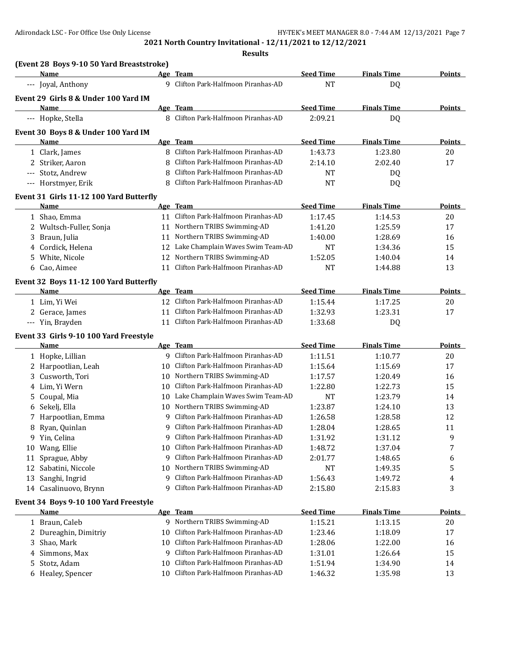|    | (Event 28 Boys 9-10 50 Yard Breaststroke) |    |                                      |                  |                    |               |
|----|-------------------------------------------|----|--------------------------------------|------------------|--------------------|---------------|
|    | Name                                      |    | Age Team                             | <b>Seed Time</b> | <b>Finals Time</b> | <b>Points</b> |
|    | --- Joyal, Anthony                        |    | 9 Clifton Park-Halfmoon Piranhas-AD  | <b>NT</b>        | DQ                 |               |
|    | Event 29 Girls 8 & Under 100 Yard IM      |    |                                      |                  |                    |               |
|    | Name                                      |    | Age Team                             | <b>Seed Time</b> | <b>Finals Time</b> | <b>Points</b> |
|    | --- Hopke, Stella                         |    | 8 Clifton Park-Halfmoon Piranhas-AD  | 2:09.21          | DQ                 |               |
|    | Event 30 Boys 8 & Under 100 Yard IM       |    |                                      |                  |                    |               |
|    | Name                                      |    | Age Team                             | <b>Seed Time</b> | <b>Finals Time</b> | <b>Points</b> |
|    | 1 Clark, James                            |    | 8 Clifton Park-Halfmoon Piranhas-AD  | 1:43.73          | 1:23.80            | 20            |
|    | 2 Striker, Aaron                          | 8  | Clifton Park-Halfmoon Piranhas-AD    | 2:14.10          | 2:02.40            | 17            |
|    | Stotz, Andrew                             | 8  | Clifton Park-Halfmoon Piranhas-AD    | <b>NT</b>        | DQ                 |               |
|    | --- Horstmyer, Erik                       | 8  | Clifton Park-Halfmoon Piranhas-AD    | NT               | DQ                 |               |
|    | Event 31 Girls 11-12 100 Yard Butterfly   |    |                                      |                  |                    |               |
|    | Name                                      |    | Age Team                             | <b>Seed Time</b> | <b>Finals Time</b> | Points        |
|    | 1 Shao, Emma                              |    | 11 Clifton Park-Halfmoon Piranhas-AD | 1:17.45          | 1:14.53            | 20            |
|    | 2 Wultsch-Fuller, Sonja                   | 11 | Northern TRIBS Swimming-AD           | 1:41.20          | 1:25.59            | 17            |
|    | 3 Braun, Julia                            | 11 | Northern TRIBS Swimming-AD           | 1:40.00          | 1:28.69            | 16            |
|    | 4 Cordick, Helena                         | 12 | Lake Champlain Waves Swim Team-AD    | <b>NT</b>        | 1:34.36            | 15            |
|    | 5 White, Nicole                           | 12 | Northern TRIBS Swimming-AD           | 1:52.05          | 1:40.04            | 14            |
|    | 6 Cao, Aimee                              | 11 | Clifton Park-Halfmoon Piranhas-AD    | <b>NT</b>        | 1:44.88            | 13            |
|    | Event 32 Boys 11-12 100 Yard Butterfly    |    |                                      |                  |                    |               |
|    | Name                                      |    | Age Team                             | <b>Seed Time</b> | <b>Finals Time</b> | <b>Points</b> |
|    | 1 Lim, Yi Wei                             |    | 12 Clifton Park-Halfmoon Piranhas-AD | 1:15.44          | 1:17.25            | 20            |
|    | 2 Gerace, James                           | 11 | Clifton Park-Halfmoon Piranhas-AD    | 1:32.93          | 1:23.31            | 17            |
|    | --- Yin, Brayden                          | 11 | Clifton Park-Halfmoon Piranhas-AD    | 1:33.68          | DQ                 |               |
|    | Event 33 Girls 9-10 100 Yard Freestyle    |    |                                      |                  |                    |               |
|    | Name                                      |    | Age Team                             | <b>Seed Time</b> | <b>Finals Time</b> | <b>Points</b> |
|    | 1 Hopke, Lillian                          |    | 9 Clifton Park-Halfmoon Piranhas-AD  | 1:11.51          | 1:10.77            | 20            |
|    | 2 Harpootlian, Leah                       | 10 | Clifton Park-Halfmoon Piranhas-AD    | 1:15.64          | 1:15.69            | 17            |
| 3  | Cusworth, Tori                            |    | 10 Northern TRIBS Swimming-AD        | 1:17.57          | 1:20.49            | 16            |
| 4  | Lim, Yi Wern                              | 10 | Clifton Park-Halfmoon Piranhas-AD    | 1:22.80          | 1:22.73            | 15            |
| 5  | Coupal, Mia                               | 10 | Lake Champlain Waves Swim Team-AD    | <b>NT</b>        | 1:23.79            | 14            |
| 6  | Sekelj, Ella                              | 10 | Northern TRIBS Swimming-AD           | 1:23.87          | 1:24.10            | 13            |
|    | 7 Harpootlian, Emma                       | 9  | Clifton Park-Halfmoon Piranhas-AD    | 1:26.58          | 1:28.58            | 12            |
|    | 8 Ryan, Quinlan                           | 9. | Clifton Park-Halfmoon Piranhas-AD    | 1:28.04          | 1:28.65            | 11            |
|    | 9 Yin, Celina                             | 9  | Clifton Park-Halfmoon Piranhas-AD    | 1:31.92          | 1:31.12            | 9             |
|    | 10 Wang, Ellie                            | 10 | Clifton Park-Halfmoon Piranhas-AD    | 1:48.72          | 1:37.04            | 7             |
| 11 | Sprague, Abby                             | 9  | Clifton Park-Halfmoon Piranhas-AD    | 2:01.77          | 1:48.65            | 6             |
| 12 | Sabatini, Niccole                         |    | 10 Northern TRIBS Swimming-AD        | <b>NT</b>        | 1:49.35            | 5             |
| 13 | Sanghi, Ingrid                            | 9  | Clifton Park-Halfmoon Piranhas-AD    | 1:56.43          | 1:49.72            | 4             |
|    | 14 Casalinuovo, Brynn                     | 9  | Clifton Park-Halfmoon Piranhas-AD    | 2:15.80          | 2:15.83            | 3             |
|    | Event 34 Boys 9-10 100 Yard Freestyle     |    |                                      |                  |                    |               |
|    | Name                                      |    | Age Team                             | <b>Seed Time</b> | <b>Finals Time</b> | <b>Points</b> |
|    | 1 Braun, Caleb                            |    | 9 Northern TRIBS Swimming-AD         | 1:15.21          | 1:13.15            | 20            |
|    | 2 Dureaghin, Dimitriy                     | 10 | Clifton Park-Halfmoon Piranhas-AD    | 1:23.46          | 1:18.09            | 17            |
|    | 3 Shao, Mark                              | 10 | Clifton Park-Halfmoon Piranhas-AD    | 1:28.06          | 1:22.00            | 16            |
|    | 4 Simmons, Max                            | 9  | Clifton Park-Halfmoon Piranhas-AD    | 1:31.01          | 1:26.64            | 15            |
| 5. | Stotz, Adam                               | 10 | Clifton Park-Halfmoon Piranhas-AD    | 1:51.94          | 1:34.90            | 14            |
|    | 6 Healey, Spencer                         |    | 10 Clifton Park-Halfmoon Piranhas-AD | 1:46.32          | 1:35.98            | 13            |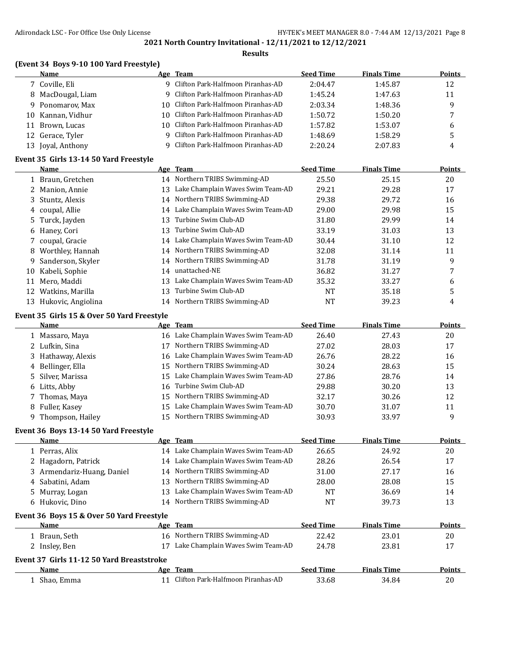### **Results**

| <b>Name</b>                            | Age Team                              | <b>Seed Time</b> | <b>Finals Time</b> | <b>Points</b> |
|----------------------------------------|---------------------------------------|------------------|--------------------|---------------|
| 7 Coville, Eli                         | 9 Clifton Park-Halfmoon Piranhas-AD   | 2:04.47          | 1:45.87            | 12            |
| 8 MacDougal, Liam                      | 9 Clifton Park-Halfmoon Piranhas-AD   | 1:45.24          | 1:47.63            | 11            |
| 9 Ponomarov, Max                       | 10 Clifton Park-Halfmoon Piranhas-AD  | 2:03.34          | 1:48.36            | 9             |
| 10 Kannan, Vidhur                      | 10 Clifton Park-Halfmoon Piranhas-AD  | 1:50.72          | 1:50.20            |               |
| Brown, Lucas<br>11                     | 10 Clifton Park-Halfmoon Piranhas-AD  | 1:57.82          | 1:53.07            | 6             |
| 12 Gerace, Tyler                       | 9 Clifton Park-Halfmoon Piranhas-AD   | 1:48.69          | 1:58.29            | כ             |
| 13 Joyal, Anthony                      | 9 Clifton Park-Halfmoon Piranhas-AD   | 2:20.24          | 2:07.83            | 4             |
| Event 35 Girls 13-14 50 Yard Freestyle |                                       |                  |                    |               |
| Name                                   | Age Team                              | <b>Seed Time</b> | <b>Finals Time</b> | Points        |
| 1 Braun, Gretchen                      | 14 Northern TRIBS Swimming-AD         | 25.50            | 25.15              | 20            |
| $2.11 - 1.12$                          | 12 Lake Champlain Wayse Surim Toam AD | 20.21            | חר חר              | 17            |

|    | 2 Manion, Annie       | 13 | Lake Champlain Waves Swim Team-AD    | 29.21 | 29.28 | 17 |
|----|-----------------------|----|--------------------------------------|-------|-------|----|
|    | 3 Stuntz, Alexis      | 14 | Northern TRIBS Swimming-AD           | 29.38 | 29.72 | 16 |
|    | 4 coupal, Allie       |    | 14 Lake Champlain Waves Swim Team-AD | 29.00 | 29.98 | 15 |
|    | 5 Turck, Jayden       | 13 | Turbine Swim Club-AD                 | 31.80 | 29.99 | 14 |
|    | 6 Haney, Cori         | 13 | Turbine Swim Club-AD                 | 33.19 | 31.03 | 13 |
|    | coupal, Gracie        |    | 14 Lake Champlain Waves Swim Team-AD | 30.44 | 31.10 | 12 |
| 8  | Worthley, Hannah      |    | 14 Northern TRIBS Swimming-AD        | 32.08 | 31.14 | 11 |
| 9. | Sanderson, Skyler     |    | 14 Northern TRIBS Swimming-AD        | 31.78 | 31.19 | 9  |
| 10 | Kabeli, Sophie        | 14 | unattached-NE                        | 36.82 | 31.27 |    |
| 11 | Mero, Maddi           | 13 | Lake Champlain Waves Swim Team-AD    | 35.32 | 33.27 | 6  |
|    | 12 Watkins, Marilla   | 13 | Turbine Swim Club-AD                 | NT    | 35.18 | 5  |
|    | 13 Hukovic, Angiolina | 14 | Northern TRIBS Swimming-AD           | NT    | 39.23 | 4  |

### **Event 35 Girls 15 & Over 50 Yard Freestyle**

| <b>Name</b>        |     | Age Team                             | <b>Seed Time</b> | <b>Finals Time</b> | <b>Points</b> |
|--------------------|-----|--------------------------------------|------------------|--------------------|---------------|
| 1 Massaro, Maya    | 16. | Lake Champlain Waves Swim Team-AD    | 26.40            | 27.43              | 20            |
| 2 Lufkin, Sina     | 17  | Northern TRIBS Swimming-AD           | 27.02            | 28.03              | 17            |
| 3 Hathaway, Alexis |     | 16 Lake Champlain Waves Swim Team-AD | 26.76            | 28.22              | 16            |
| 4 Bellinger, Ella  | 15. | Northern TRIBS Swimming-AD           | 30.24            | 28.63              | 15            |
| 5 Silver, Marissa  | 15  | Lake Champlain Waves Swim Team-AD    | 27.86            | 28.76              | 14            |
| 6 Litts, Abby      | 16  | Turbine Swim Club-AD                 | 29.88            | 30.20              | 13            |
| 7 Thomas, Maya     |     | 15 Northern TRIBS Swimming-AD        | 32.17            | 30.26              | 12            |
| 8 Fuller, Kasey    | 15  | Lake Champlain Waves Swim Team-AD    | 30.70            | 31.07              | 11            |
| 9 Thompson, Hailey | 15  | Northern TRIBS Swimming-AD           | 30.93            | 33.97              | 9             |

## **Event 36 Boys 13-14 50 Yard Freestyle**

| <b>Name</b>                               |    | Age Team                             | <b>Seed Time</b> | <b>Finals Time</b> | <b>Points</b> |
|-------------------------------------------|----|--------------------------------------|------------------|--------------------|---------------|
| 1 Perras, Alix                            |    | 14 Lake Champlain Waves Swim Team-AD | 26.65            | 24.92              | 20            |
| 2 Hagadorn, Patrick                       |    | 14 Lake Champlain Waves Swim Team-AD | 28.26            | 26.54              | 17            |
| 3 Armendariz-Huang, Daniel                | 14 | Northern TRIBS Swimming-AD           | 31.00            | 27.17              | 16            |
| 4 Sabatini, Adam                          | 13 | Northern TRIBS Swimming-AD           | 28.00            | 28.08              | 15            |
| 5 Murray, Logan                           | 13 | Lake Champlain Waves Swim Team-AD    | NT               | 36.69              | 14            |
| 6 Hukovic, Dino                           | 14 | Northern TRIBS Swimming-AD           | NT               | 39.73              | 13            |
| Event 36 Boys 15 & Over 50 Yard Freestyle |    |                                      |                  |                    |               |
| <b>Name</b>                               |    | Age Team                             | <b>Seed Time</b> | <b>Finals Time</b> | <b>Points</b> |
| Braun, Seth                               | 16 | Northern TRIBS Swimming-AD           | 22.42            | 23.01              | 20            |
| 2 Insley, Ben                             |    | Lake Champlain Waves Swim Team-AD    | 24.78            | 23.81              | 17            |
| Event 37 Girls 11-12 50 Yard Breaststroke |    |                                      |                  |                    |               |
| <b>Name</b>                               |    | Age Team                             | <b>Seed Time</b> | <b>Finals Time</b> | <b>Points</b> |
| Shao, Emma                                |    | Clifton Park-Halfmoon Piranhas-AD    | 33.68            | 34.84              | 20            |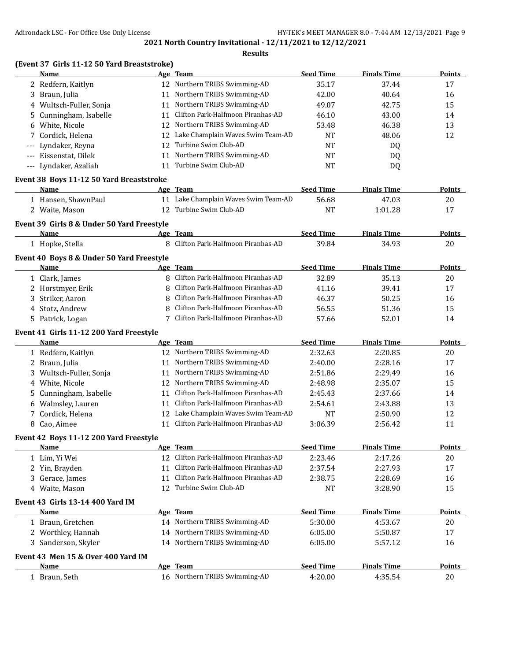|                                          | (Event 37 Girls 11-12 50 Yard Breaststroke)               |    |                                      |                  |                    |               |
|------------------------------------------|-----------------------------------------------------------|----|--------------------------------------|------------------|--------------------|---------------|
|                                          | Name                                                      |    | Age Team                             | <b>Seed Time</b> | <b>Finals Time</b> | Points        |
|                                          | 2 Redfern, Kaitlyn                                        |    | 12 Northern TRIBS Swimming-AD        | 35.17            | 37.44              | 17            |
| 3                                        | Braun, Julia                                              |    | 11 Northern TRIBS Swimming-AD        | 42.00            | 40.64              | 16            |
| 4                                        | Wultsch-Fuller, Sonja                                     | 11 | Northern TRIBS Swimming-AD           | 49.07            | 42.75              | 15            |
| 5                                        | Cunningham, Isabelle                                      | 11 | Clifton Park-Halfmoon Piranhas-AD    | 46.10            | 43.00              | 14            |
| 6                                        | White, Nicole                                             |    | 12 Northern TRIBS Swimming-AD        | 53.48            | 46.38              | 13            |
|                                          | 7 Cordick, Helena                                         | 12 | Lake Champlain Waves Swim Team-AD    | <b>NT</b>        | 48.06              | 12            |
| $\hspace{0.05cm} \ldots \hspace{0.05cm}$ | Lyndaker, Reyna                                           |    | 12 Turbine Swim Club-AD              | <b>NT</b>        | DQ                 |               |
| $---$                                    | Eissenstat, Dilek                                         |    | 11 Northern TRIBS Swimming-AD        | <b>NT</b>        | DQ                 |               |
|                                          | --- Lyndaker, Azaliah                                     |    | 11 Turbine Swim Club-AD              | <b>NT</b>        | DQ                 |               |
|                                          | Event 38 Boys 11-12 50 Yard Breaststroke                  |    |                                      | <b>Seed Time</b> | <b>Finals Time</b> |               |
|                                          | Name                                                      |    | Age Team                             |                  |                    | Points        |
|                                          | 1 Hansen, ShawnPaul                                       |    | 11 Lake Champlain Waves Swim Team-AD | 56.68            | 47.03              | 20            |
|                                          | 2 Waite, Mason                                            | 12 | Turbine Swim Club-AD                 | <b>NT</b>        | 1:01.28            | 17            |
|                                          | Event 39 Girls 8 & Under 50 Yard Freestyle<br><b>Name</b> |    | Age Team                             | <b>Seed Time</b> | <b>Finals Time</b> | <b>Points</b> |
|                                          | 1 Hopke, Stella                                           | 8  | Clifton Park-Halfmoon Piranhas-AD    | 39.84            | 34.93              | 20            |
|                                          | Event 40 Boys 8 & Under 50 Yard Freestyle                 |    |                                      |                  |                    |               |
|                                          | Name                                                      |    | Age Team                             | <b>Seed Time</b> | <b>Finals Time</b> | Points        |
|                                          | 1 Clark, James                                            | 8  | Clifton Park-Halfmoon Piranhas-AD    | 32.89            | 35.13              | 20            |
| 2                                        | Horstmyer, Erik                                           | 8  | Clifton Park-Halfmoon Piranhas-AD    | 41.16            | 39.41              | 17            |
| 3                                        | Striker, Aaron                                            | 8  | Clifton Park-Halfmoon Piranhas-AD    | 46.37            | 50.25              | 16            |
| 4                                        | Stotz, Andrew                                             | 8  | Clifton Park-Halfmoon Piranhas-AD    | 56.55            | 51.36              | 15            |
|                                          | 5 Patrick, Logan                                          | 7  | Clifton Park-Halfmoon Piranhas-AD    | 57.66            | 52.01              | 14            |
|                                          | Event 41 Girls 11-12 200 Yard Freestyle                   |    |                                      |                  |                    |               |
|                                          | Name                                                      |    | Age Team                             | <b>Seed Time</b> | <b>Finals Time</b> | Points        |
|                                          | 1 Redfern, Kaitlyn                                        |    | 12 Northern TRIBS Swimming-AD        | 2:32.63          | 2:20.85            | 20            |
| 2                                        | Braun, Julia                                              | 11 | Northern TRIBS Swimming-AD           | 2:40.00          | 2:28.16            | 17            |
| 3                                        | Wultsch-Fuller, Sonja                                     | 11 | Northern TRIBS Swimming-AD           | 2:51.86          | 2:29.49            | 16            |
| 4                                        | White, Nicole                                             | 12 | Northern TRIBS Swimming-AD           | 2:48.98          | 2:35.07            | 15            |
| 5                                        | Cunningham, Isabelle                                      | 11 | Clifton Park-Halfmoon Piranhas-AD    | 2:45.43          | 2:37.66            | 14            |
| 6                                        | Walmsley, Lauren                                          | 11 | Clifton Park-Halfmoon Piranhas-AD    | 2:54.61          | 2:43.88            | 13            |
| 7                                        | Cordick, Helena                                           | 12 | Lake Champlain Waves Swim Team-AD    | <b>NT</b>        | 2:50.90            | 12            |
|                                          | 8 Cao, Aimee                                              |    | 11 Clifton Park-Halfmoon Piranhas-AD | 3:06.39          | 2:56.42            | 11            |
|                                          | Event 42 Boys 11-12 200 Yard Freestyle                    |    |                                      |                  |                    |               |
|                                          | Name                                                      |    | Age Team                             | <b>Seed Time</b> | <b>Finals Time</b> | <b>Points</b> |
|                                          | 1 Lim, Yi Wei                                             |    | 12 Clifton Park-Halfmoon Piranhas-AD | 2:23.46          | 2:17.26            | 20            |
|                                          | 2 Yin, Brayden                                            | 11 | Clifton Park-Halfmoon Piranhas-AD    | 2:37.54          | 2:27.93            | 17            |
| 3.                                       | Gerace, James                                             | 11 | Clifton Park-Halfmoon Piranhas-AD    | 2:38.75          | 2:28.69            | 16            |
|                                          | 4 Waite, Mason                                            | 12 | Turbine Swim Club-AD                 | <b>NT</b>        | 3:28.90            | 15            |
|                                          | Event 43 Girls 13-14 400 Yard IM                          |    |                                      |                  |                    |               |
|                                          | Name                                                      |    | Age Team                             | <b>Seed Time</b> | <b>Finals Time</b> | <b>Points</b> |
|                                          | 1 Braun, Gretchen                                         |    | 14 Northern TRIBS Swimming-AD        | 5:30.00          | 4:53.67            | 20            |
|                                          | 2 Worthley, Hannah                                        |    | 14 Northern TRIBS Swimming-AD        | 6:05.00          | 5:50.87            | 17            |
|                                          | 3 Sanderson, Skyler                                       |    | 14 Northern TRIBS Swimming-AD        | 6:05.00          | 5:57.12            | 16            |
|                                          | Event 43 Men 15 & Over 400 Yard IM                        |    |                                      |                  |                    |               |
|                                          | Name                                                      |    | Age Team                             | <b>Seed Time</b> | <b>Finals Time</b> | <b>Points</b> |
|                                          | 1 Braun, Seth                                             |    | 16 Northern TRIBS Swimming-AD        | 4:20.00          | 4:35.54            | 20            |
|                                          |                                                           |    |                                      |                  |                    |               |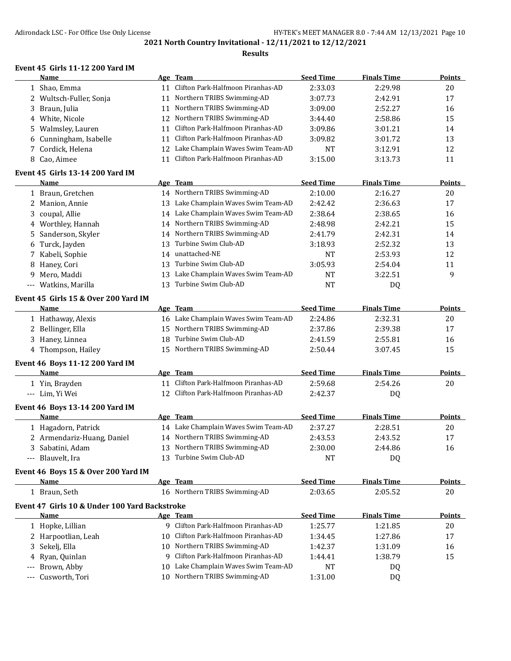**Results**

## **Event 45 Girls 11-12 200 Yard IM**

|     | Name                                          |     | Age Team                             | <b>Seed Time</b> | <b>Finals Time</b> | <b>Points</b> |
|-----|-----------------------------------------------|-----|--------------------------------------|------------------|--------------------|---------------|
|     | 1 Shao, Emma                                  | 11  | Clifton Park-Halfmoon Piranhas-AD    | 2:33.03          | 2:29.98            | 20            |
|     | 2 Wultsch-Fuller, Sonja                       | 11  | Northern TRIBS Swimming-AD           | 3:07.73          | 2:42.91            | 17            |
|     | 3 Braun, Julia                                | 11  | Northern TRIBS Swimming-AD           | 3:09.00          | 2:52.27            | 16            |
|     | 4 White, Nicole                               | 12  | Northern TRIBS Swimming-AD           | 3:44.40          | 2:58.86            | 15            |
| 5.  | Walmsley, Lauren                              | 11  | Clifton Park-Halfmoon Piranhas-AD    | 3:09.86          | 3:01.21            | 14            |
| 6   | Cunningham, Isabelle                          | 11  | Clifton Park-Halfmoon Piranhas-AD    | 3:09.82          | 3:01.72            | 13            |
|     | Cordick, Helena                               | 12  | Lake Champlain Waves Swim Team-AD    | <b>NT</b>        | 3:12.91            | 12            |
|     | 8 Cao, Aimee                                  | 11  | Clifton Park-Halfmoon Piranhas-AD    | 3:15.00          | 3:13.73            | 11            |
|     | Event 45 Girls 13-14 200 Yard IM              |     |                                      |                  |                    |               |
|     | Name                                          |     | Age Team                             | <b>Seed Time</b> | <b>Finals Time</b> | <b>Points</b> |
|     | 1 Braun, Gretchen                             |     | 14 Northern TRIBS Swimming-AD        | 2:10.00          | 2:16.27            | 20            |
|     | 2 Manion, Annie                               |     | 13 Lake Champlain Waves Swim Team-AD | 2:42.42          | 2:36.63            | 17            |
|     | 3 coupal, Allie                               |     | 14 Lake Champlain Waves Swim Team-AD | 2:38.64          | 2:38.65            | 16            |
|     | 4 Worthley, Hannah                            | 14  | Northern TRIBS Swimming-AD           | 2:48.98          | 2:42.21            | 15            |
| 5   | Sanderson, Skyler                             | 14  | Northern TRIBS Swimming-AD           | 2:41.79          | 2:42.31            | 14            |
| 6   | Turck, Jayden                                 | 13  | Turbine Swim Club-AD                 | 3:18.93          | 2:52.32            | 13            |
| 7   | Kabeli, Sophie                                |     | 14 unattached-NE                     | <b>NT</b>        | 2:53.93            | 12            |
| 8   | Haney, Cori                                   | 13  | Turbine Swim Club-AD                 | 3:05.93          | 2:54.04            | 11            |
| 9   | Mero, Maddi                                   | 13  | Lake Champlain Waves Swim Team-AD    | <b>NT</b>        | 3:22.51            | 9             |
| --- | Watkins, Marilla                              | 13  | Turbine Swim Club-AD                 | <b>NT</b>        | DQ                 |               |
|     | Event 45 Girls 15 & Over 200 Yard IM          |     |                                      |                  |                    |               |
|     | Name                                          |     | Age Team                             | <b>Seed Time</b> | <b>Finals Time</b> | <b>Points</b> |
|     | 1 Hathaway, Alexis                            |     | 16 Lake Champlain Waves Swim Team-AD | 2:24.86          | 2:32.31            | 20            |
|     | 2 Bellinger, Ella                             | 15  | Northern TRIBS Swimming-AD           | 2:37.86          | 2:39.38            | 17            |
|     | 3 Haney, Linnea                               | 18  | Turbine Swim Club-AD                 | 2:41.59          | 2:55.81            | 16            |
|     | 4 Thompson, Hailey                            |     | 15 Northern TRIBS Swimming-AD        | 2:50.44          | 3:07.45            | 15            |
|     | Event 46 Boys 11-12 200 Yard IM               |     |                                      |                  |                    |               |
|     | Name                                          |     | Age Team                             | <b>Seed Time</b> | <b>Finals Time</b> | Points        |
|     | 1 Yin, Brayden                                |     | 11 Clifton Park-Halfmoon Piranhas-AD | 2:59.68          | 2:54.26            | 20            |
|     | --- Lim, Yi Wei                               |     | 12 Clifton Park-Halfmoon Piranhas-AD | 2:42.37          | DQ                 |               |
|     | Event 46 Boys 13-14 200 Yard IM<br>Name       |     | Age Team                             | <b>Seed Time</b> | <b>Finals Time</b> | Points        |
|     | 1 Hagadorn, Patrick                           |     | 14 Lake Champlain Waves Swim Team-AD | 2:37.27          | 2:28.51            | 20            |
|     | 2 Armendariz-Huang, Daniel                    |     | 14 Northern TRIBS Swimming-AD        | 2:43.53          | 2:43.52            | 17            |
|     | 3 Sabatini, Adam                              |     | 13 Northern TRIBS Swimming-AD        | 2:30.00          | 2:44.86            |               |
|     |                                               |     | 13 Turbine Swim Club-AD              | <b>NT</b>        |                    | 16            |
|     | --- Blauvelt, Ira                             |     |                                      |                  | DQ                 |               |
|     | Event 46 Boys 15 & Over 200 Yard IM           |     | Age Team                             | <b>Seed Time</b> | <b>Finals Time</b> | <b>Points</b> |
|     | Name                                          |     | 16 Northern TRIBS Swimming-AD        |                  |                    |               |
|     | 1 Braun, Seth                                 |     |                                      | 2:03.65          | 2:05.52            | 20            |
|     | Event 47 Girls 10 & Under 100 Yard Backstroke |     |                                      |                  |                    |               |
|     | <b>Name</b>                                   |     | Age Team                             | <b>Seed Time</b> | <b>Finals Time</b> | <b>Points</b> |
|     | 1 Hopke, Lillian                              |     | 9 Clifton Park-Halfmoon Piranhas-AD  | 1:25.77          | 1:21.85            | 20            |
|     | 2 Harpootlian, Leah                           | 10. | Clifton Park-Halfmoon Piranhas-AD    | 1:34.45          | 1:27.86            | 17            |
| 3.  | Sekelj, Ella                                  |     | 10 Northern TRIBS Swimming-AD        | 1:42.37          | 1:31.09            | 16            |
|     | Ryan, Quinlan                                 |     | 9 Clifton Park-Halfmoon Piranhas-AD  | 1:44.41          | 1:38.79            | 15            |
|     | Brown, Abby                                   |     | 10 Lake Champlain Waves Swim Team-AD | NT               | DQ                 |               |
| --- | Cusworth, Tori                                |     | 10 Northern TRIBS Swimming-AD        | 1:31.00          | DQ                 |               |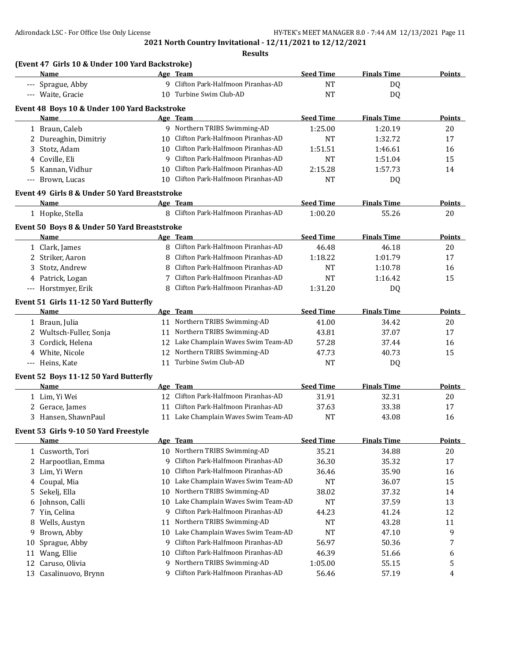|    | (Event 47 Girls 10 & Under 100 Yard Backstroke)<br>Name |          | Age Team                                                        | <b>Seed Time</b>   | <b>Finals Time</b> | <b>Points</b> |
|----|---------------------------------------------------------|----------|-----------------------------------------------------------------|--------------------|--------------------|---------------|
|    | --- Sprague, Abby                                       |          | 9 Clifton Park-Halfmoon Piranhas-AD                             | <b>NT</b>          | DQ                 |               |
|    | --- Waite, Gracie                                       |          | 10 Turbine Swim Club-AD                                         | <b>NT</b>          | <b>DQ</b>          |               |
|    | Event 48 Boys 10 & Under 100 Yard Backstroke            |          |                                                                 |                    |                    |               |
|    | <b>Name</b>                                             |          | Age Team                                                        | <b>Seed Time</b>   | <b>Finals Time</b> | Points        |
|    | 1 Braun, Caleb                                          |          | 9 Northern TRIBS Swimming-AD                                    | 1:25.00            | 1:20.19            | 20            |
|    | 2 Dureaghin, Dimitriy                                   | 10       | Clifton Park-Halfmoon Piranhas-AD                               | <b>NT</b>          | 1:32.72            | 17            |
|    | 3 Stotz, Adam                                           | 10       | Clifton Park-Halfmoon Piranhas-AD                               | 1:51.51            | 1:46.61            | 16            |
|    | 4 Coville, Eli                                          | 9        | Clifton Park-Halfmoon Piranhas-AD                               | <b>NT</b>          | 1:51.04            | 15            |
|    | 5 Kannan, Vidhur                                        | 10       | Clifton Park-Halfmoon Piranhas-AD                               | 2:15.28            | 1:57.73            | 14            |
|    | --- Brown, Lucas                                        |          | 10 Clifton Park-Halfmoon Piranhas-AD                            | <b>NT</b>          | DQ                 |               |
|    |                                                         |          |                                                                 |                    |                    |               |
|    | Event 49 Girls 8 & Under 50 Yard Breaststroke<br>Name   |          | Age Team                                                        | <b>Seed Time</b>   | <b>Finals Time</b> | Points        |
|    |                                                         |          | 8 Clifton Park-Halfmoon Piranhas-AD                             |                    |                    |               |
|    | 1 Hopke, Stella                                         |          |                                                                 | 1:00.20            | 55.26              | 20            |
|    | Event 50 Boys 8 & Under 50 Yard Breaststroke            |          |                                                                 |                    |                    |               |
|    | Name                                                    |          | Age Team                                                        | <b>Seed Time</b>   | <b>Finals Time</b> | <b>Points</b> |
|    | 1 Clark, James                                          | 8        | Clifton Park-Halfmoon Piranhas-AD                               | 46.48              | 46.18              | 20            |
|    | 2 Striker, Aaron                                        | 8        | Clifton Park-Halfmoon Piranhas-AD                               | 1:18.22            | 1:01.79            | 17            |
|    | 3 Stotz, Andrew                                         | 8        | Clifton Park-Halfmoon Piranhas-AD                               | <b>NT</b>          | 1:10.78            | 16            |
|    | 4 Patrick, Logan                                        |          | Clifton Park-Halfmoon Piranhas-AD                               | <b>NT</b>          | 1:16.42            | 15            |
|    | --- Horstmyer, Erik                                     | 8        | Clifton Park-Halfmoon Piranhas-AD                               | 1:31.20            | DQ                 |               |
|    | Event 51 Girls 11-12 50 Yard Butterfly                  |          |                                                                 |                    |                    |               |
|    | Name                                                    |          | Age Team                                                        | <b>Seed Time</b>   | <b>Finals Time</b> | <b>Points</b> |
|    | 1 Braun, Julia                                          |          | 11 Northern TRIBS Swimming-AD                                   | 41.00              | 34.42              | 20            |
|    | 2 Wultsch-Fuller, Sonja                                 | 11       | Northern TRIBS Swimming-AD                                      | 43.81              | 37.07              | 17            |
|    | 3 Cordick, Helena                                       |          | 12 Lake Champlain Waves Swim Team-AD                            | 57.28              | 37.44              | 16            |
|    | 4 White, Nicole                                         | 12       | Northern TRIBS Swimming-AD                                      | 47.73              | 40.73              | 15            |
|    | --- Heins, Kate                                         |          | 11 Turbine Swim Club-AD                                         | <b>NT</b>          | DQ                 |               |
|    | Event 52 Boys 11-12 50 Yard Butterfly                   |          |                                                                 |                    |                    |               |
|    | Name                                                    |          | Age Team                                                        | <b>Seed Time</b>   | <b>Finals Time</b> | Points        |
|    | 1 Lim, Yi Wei                                           |          | 12 Clifton Park-Halfmoon Piranhas-AD                            | 31.91              | 32.31              | 20            |
|    | 2 Gerace, James                                         | 11       | Clifton Park-Halfmoon Piranhas-AD                               | 37.63              | 33.38              | 17            |
|    | 3 Hansen, ShawnPaul                                     |          | 11 Lake Champlain Waves Swim Team-AD                            | <b>NT</b>          | 43.08              | 16            |
|    |                                                         |          |                                                                 |                    |                    |               |
|    | Event 53 Girls 9-10 50 Yard Freestyle                   |          |                                                                 |                    |                    |               |
|    | <b>Name</b><br>1 Cusworth, Tori                         |          | Age Team<br>10 Northern TRIBS Swimming-AD                       | <b>Seed Time</b>   | <b>Finals Time</b> | <b>Points</b> |
|    |                                                         | 9        | Clifton Park-Halfmoon Piranhas-AD                               | 35.21<br>36.30     | 34.88<br>35.32     | $20\,$<br>17  |
|    | 2 Harpootlian, Emma                                     |          | Clifton Park-Halfmoon Piranhas-AD                               |                    |                    |               |
|    | 3 Lim, Yi Wern<br>Coupal, Mia                           | 10       | Lake Champlain Waves Swim Team-AD                               | 36.46              | 35.90              | 16            |
| 4  |                                                         | 10<br>10 | Northern TRIBS Swimming-AD                                      | <b>NT</b>          | 36.07<br>37.32     | 15            |
| 5. | Sekelj, Ella                                            |          | Lake Champlain Waves Swim Team-AD                               | 38.02<br>$\rm{NT}$ |                    | 14            |
| 6  | Johnson, Calli                                          | 10       | Clifton Park-Halfmoon Piranhas-AD                               |                    | 37.59              | 13            |
| 7  | Yin, Celina                                             | 9        |                                                                 | 44.23              | 41.24              | 12            |
| 8  | Wells, Austyn                                           | 11       | Northern TRIBS Swimming-AD<br>Lake Champlain Waves Swim Team-AD | <b>NT</b>          | 43.28              | 11            |
| 9  | Brown, Abby                                             | 10       |                                                                 | <b>NT</b>          | 47.10              | 9             |
| 10 | Sprague, Abby                                           | 9        | Clifton Park-Halfmoon Piranhas-AD                               | 56.97              | 50.36              | 7             |
| 11 | Wang, Ellie                                             | 10       | Clifton Park-Halfmoon Piranhas-AD                               | 46.39              | 51.66              | 6             |
| 12 | Caruso, Olivia                                          | 9        | Northern TRIBS Swimming-AD                                      | 1:05.00            | 55.15              | 5             |
|    | 13 Casalinuovo, Brynn                                   | 9.       | Clifton Park-Halfmoon Piranhas-AD                               | 56.46              | 57.19              | 4             |
|    |                                                         |          |                                                                 |                    |                    |               |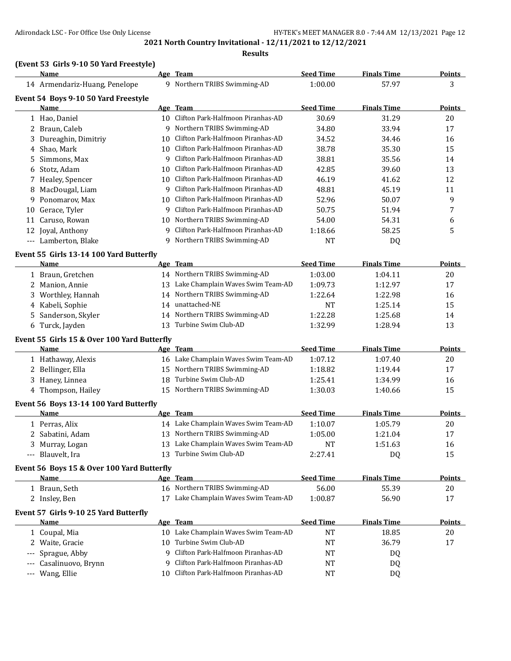**Results**

## **(Event 53 Girls 9-10 50 Yard Freestyle)**

|       | <b>Name</b>                                 |    | Age Team                             | <b>Seed Time</b> | <b>Finals Time</b> | <b>Points</b> |
|-------|---------------------------------------------|----|--------------------------------------|------------------|--------------------|---------------|
|       | 14 Armendariz-Huang, Penelope               |    | 9 Northern TRIBS Swimming-AD         | 1:00.00          | 57.97              | 3             |
|       | Event 54 Boys 9-10 50 Yard Freestyle        |    |                                      |                  |                    |               |
|       | Name                                        |    | Age Team                             | <b>Seed Time</b> | <b>Finals Time</b> | <b>Points</b> |
|       | 1 Hao, Daniel                               |    | 10 Clifton Park-Halfmoon Piranhas-AD | 30.69            | 31.29              | 20            |
|       | 2 Braun, Caleb                              |    | 9 Northern TRIBS Swimming-AD         | 34.80            | 33.94              | 17            |
|       | 3 Dureaghin, Dimitriy                       |    | 10 Clifton Park-Halfmoon Piranhas-AD | 34.52            | 34.46              | 16            |
|       | 4 Shao, Mark                                |    | 10 Clifton Park-Halfmoon Piranhas-AD | 38.78            | 35.30              | 15            |
| 5     | Simmons, Max                                |    | 9 Clifton Park-Halfmoon Piranhas-AD  | 38.81            | 35.56              | 14            |
| 6     | Stotz, Adam                                 |    | 10 Clifton Park-Halfmoon Piranhas-AD | 42.85            | 39.60              | 13            |
|       | 7 Healey, Spencer                           |    | 10 Clifton Park-Halfmoon Piranhas-AD | 46.19            | 41.62              | 12            |
|       | 8 MacDougal, Liam                           |    | 9 Clifton Park-Halfmoon Piranhas-AD  | 48.81            | 45.19              | 11            |
| 9     | Ponomarov, Max                              |    | 10 Clifton Park-Halfmoon Piranhas-AD | 52.96            | 50.07              | 9             |
| 10    | Gerace, Tyler                               | 9  | Clifton Park-Halfmoon Piranhas-AD    | 50.75            | 51.94              | 7             |
| 11    | Caruso, Rowan                               |    | 10 Northern TRIBS Swimming-AD        | 54.00            | 54.31              | 6             |
| 12    | Joyal, Anthony                              | q  | Clifton Park-Halfmoon Piranhas-AD    | 1:18.66          | 58.25              | 5             |
|       | --- Lamberton, Blake                        |    | 9 Northern TRIBS Swimming-AD         | <b>NT</b>        | DQ                 |               |
|       | Event 55 Girls 13-14 100 Yard Butterfly     |    |                                      |                  |                    |               |
|       | Name                                        |    | Age Team                             | <b>Seed Time</b> | <b>Finals Time</b> | Points        |
|       | 1 Braun, Gretchen                           |    | 14 Northern TRIBS Swimming-AD        | 1:03.00          | 1:04.11            | 20            |
|       | 2 Manion, Annie                             |    | 13 Lake Champlain Waves Swim Team-AD | 1:09.73          | 1:12.97            | 17            |
| 3     | Worthley, Hannah                            | 14 | Northern TRIBS Swimming-AD           | 1:22.64          | 1:22.98            | 16            |
|       | 4 Kabeli, Sophie                            | 14 | unattached-NE                        | <b>NT</b>        | 1:25.14            | 15            |
|       | 5 Sanderson, Skyler                         | 14 | Northern TRIBS Swimming-AD           | 1:22.28          | 1:25.68            | 14            |
|       | 6 Turck, Jayden                             |    | 13 Turbine Swim Club-AD              | 1:32.99          | 1:28.94            | 13            |
|       |                                             |    |                                      |                  |                    |               |
|       | Event 55 Girls 15 & Over 100 Yard Butterfly |    |                                      |                  |                    |               |
|       | Name                                        |    | Age Team                             | <b>Seed Time</b> | <b>Finals Time</b> | <b>Points</b> |
|       | 1 Hathaway, Alexis                          |    | 16 Lake Champlain Waves Swim Team-AD | 1:07.12          | 1:07.40            | 20            |
| 2     | Bellinger, Ella                             |    | 15 Northern TRIBS Swimming-AD        | 1:18.82          | 1:19.44            | 17            |
|       | 3 Haney, Linnea                             |    | 18 Turbine Swim Club-AD              | 1:25.41          | 1:34.99            | 16            |
|       | 4 Thompson, Hailey                          |    | 15 Northern TRIBS Swimming-AD        | 1:30.03          | 1:40.66            | 15            |
|       | Event 56 Boys 13-14 100 Yard Butterfly      |    |                                      |                  |                    |               |
|       | Name                                        |    | Age Team                             | <b>Seed Time</b> | <b>Finals Time</b> | <b>Points</b> |
|       | 1 Perras, Alix                              |    | 14 Lake Champlain Waves Swim Team-AD | 1:10.07          | 1:05.79            | 20            |
|       | 2 Sabatini, Adam                            |    | 13 Northern TRIBS Swimming-AD        | 1:05.00          | 1:21.04            | 17            |
|       | 3 Murray, Logan                             |    | 13 Lake Champlain Waves Swim Team-AD | <b>NT</b>        | 1:51.63            | 16            |
|       | --- Blauvelt, Ira                           |    | 13 Turbine Swim Club-AD              | 2:27.41          | DQ                 | 15            |
|       | Event 56 Boys 15 & Over 100 Yard Butterfly  |    |                                      |                  |                    |               |
|       | <b>Name</b>                                 |    | Age Team                             | <b>Seed Time</b> | <b>Finals Time</b> | <b>Points</b> |
|       | 1 Braun, Seth                               |    | 16 Northern TRIBS Swimming-AD        | 56.00            | 55.39              | 20            |
|       | 2 Insley, Ben                               |    | 17 Lake Champlain Waves Swim Team-AD | 1:00.87          | 56.90              | 17            |
|       | Event 57 Girls 9-10 25 Yard Butterfly       |    |                                      |                  |                    |               |
|       | <b>Name</b>                                 |    | Age Team                             | <b>Seed Time</b> | <b>Finals Time</b> | <b>Points</b> |
|       | 1 Coupal, Mia                               |    | 10 Lake Champlain Waves Swim Team-AD | NT               | 18.85              | 20            |
|       | 2 Waite, Gracie                             |    | 10 Turbine Swim Club-AD              | NT               | 36.79              | 17            |
|       | Sprague, Abby                               |    | 9 Clifton Park-Halfmoon Piranhas-AD  | NT               | DQ                 |               |
|       | Casalinuovo, Brynn                          | 9  | Clifton Park-Halfmoon Piranhas-AD    | NT               | DQ                 |               |
| $---$ | Wang, Ellie                                 |    | 10 Clifton Park-Halfmoon Piranhas-AD | NT               | DQ                 |               |
|       |                                             |    |                                      |                  |                    |               |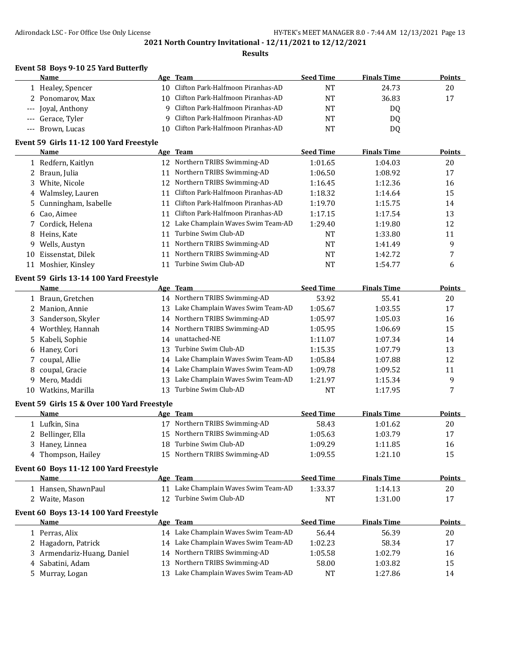### **Results**

### **Event 58 Boys 9-10 25 Yard Butterfly**

| Name               | Age Team                             | <b>Seed Time</b> | <b>Finals Time</b> | <b>Points</b> |
|--------------------|--------------------------------------|------------------|--------------------|---------------|
| 1 Healey, Spencer  | 10 Clifton Park-Halfmoon Piranhas-AD | NT               | 24.73              | 20            |
| 2 Ponomarov, Max   | 10 Clifton Park-Halfmoon Piranhas-AD | NT               | 36.83              | 17            |
| --- Joval, Anthony | 9 Clifton Park-Halfmoon Piranhas-AD  | NT               | DO.                |               |
| --- Gerace, Tyler  | 9 Clifton Park-Halfmoon Piranhas-AD  | <b>NT</b>        | DO.                |               |
| --- Brown, Lucas   | 10 Clifton Park-Halfmoon Piranhas-AD | NT.              | DO.                |               |

## **Event 59 Girls 11-12 100 Yard Freestyle**

|    | Name                   |    | Age Team                             | <b>Seed Time</b> | <b>Finals Time</b> | Points |
|----|------------------------|----|--------------------------------------|------------------|--------------------|--------|
|    | 1 Redfern, Kaitlyn     |    | 12 Northern TRIBS Swimming-AD        | 1:01.65          | 1:04.03            | 20     |
|    | 2 Braun, Julia         |    | 11 Northern TRIBS Swimming-AD        | 1:06.50          | 1:08.92            | 17     |
|    | 3 White, Nicole        |    | 12 Northern TRIBS Swimming-AD        | 1:16.45          | 1:12.36            | 16     |
|    | 4 Walmsley, Lauren     |    | Clifton Park-Halfmoon Piranhas-AD    | 1:18.32          | 1:14.64            | 15     |
|    | 5 Cunningham, Isabelle | 11 | Clifton Park-Halfmoon Piranhas-AD    | 1:19.70          | 1:15.75            | 14     |
|    | 6 Cao, Aimee           |    | Clifton Park-Halfmoon Piranhas-AD    | 1:17.15          | 1:17.54            | 13     |
|    | 7 Cordick, Helena      |    | 12 Lake Champlain Waves Swim Team-AD | 1:29.40          | 1:19.80            | 12     |
|    | 8 Heins, Kate          | 11 | Turbine Swim Club-AD                 | NT               | 1:33.80            | 11     |
|    | 9 Wells, Austyn        | 11 | Northern TRIBS Swimming-AD           | <b>NT</b>        | 1:41.49            | 9      |
| 10 | Eissenstat, Dilek      |    | Northern TRIBS Swimming-AD           | NT               | 1:42.72            | 7      |
|    | 11 Moshier, Kinsley    |    | Turbine Swim Club-AD                 | NT               | 1:54.77            | 6      |

## **Event 59 Girls 13-14 100 Yard Freestyle**

|    | Name                |     | Age Team                          | <b>Seed Time</b> | <b>Finals Time</b> | <b>Points</b> |
|----|---------------------|-----|-----------------------------------|------------------|--------------------|---------------|
|    | 1 Braun, Gretchen   |     | 14 Northern TRIBS Swimming-AD     | 53.92            | 55.41              | 20            |
|    | 2 Manion, Annie     | 13. | Lake Champlain Waves Swim Team-AD | 1:05.67          | 1:03.55            | 17            |
|    | 3 Sanderson, Skyler |     | 14 Northern TRIBS Swimming-AD     | 1:05.97          | 1:05.03            | 16            |
|    | 4 Worthley, Hannah  |     | 14 Northern TRIBS Swimming-AD     | 1:05.95          | 1:06.69            | 15            |
|    | 5 Kabeli, Sophie    | 14  | unattached-NE                     | 1:11.07          | 1:07.34            | 14            |
|    | 6 Haney, Cori       | 13. | Turbine Swim Club-AD              | 1:15.35          | 1:07.79            | 13            |
|    | 7 coupal, Allie     | 14  | Lake Champlain Waves Swim Team-AD | 1:05.84          | 1:07.88            | 12            |
|    | 8 coupal, Gracie    | 14  | Lake Champlain Waves Swim Team-AD | 1:09.78          | 1:09.52            | 11            |
|    | 9 Mero, Maddi       | 13  | Lake Champlain Waves Swim Team-AD | 1:21.97          | 1:15.34            | 9             |
| 10 | Watkins, Marilla    |     | Turbine Swim Club-AD              | <b>NT</b>        | 1:17.95            |               |

## **Event 59 Girls 15 & Over 100 Yard Freestyle**

| Name               | Team<br>Age                   | <b>Seed Time</b> | <b>Finals Time</b> | Points |
|--------------------|-------------------------------|------------------|--------------------|--------|
| 1 Lufkin, Sina     | 17 Northern TRIBS Swimming-AD | 58.43            | 1:01.62            | 20     |
| 2 Bellinger, Ella  | 15 Northern TRIBS Swimming-AD | 1:05.63          | 1:03.79            | 17     |
| 3 Haney, Linnea    | 18 Turbine Swim Club-AD       | 1:09.29          | 1:11.85            | 16     |
| 4 Thompson, Hailey | 15 Northern TRIBS Swimming-AD | 1:09.55          | 1:21.10            | 15     |

## **Event 60 Boys 11-12 100 Yard Freestyle**

| Name              | Team<br>Age                          | Seed Time | <b>Finals Time</b> | Points |
|-------------------|--------------------------------------|-----------|--------------------|--------|
| Hansen. ShawnPaul | 11 Lake Champlain Waves Swim Team-AD | 1:33.37   | !:14.13            | 20     |
| Waite. Mason      | 12 Turbine Swim Club-AD              | NT        | l:31.00            |        |

### **Event 60 Boys 13-14 100 Yard Freestyle**

| Name                       | Age Team                             | <b>Seed Time</b> | <b>Finals Time</b> | <b>Points</b> |
|----------------------------|--------------------------------------|------------------|--------------------|---------------|
| Perras, Alix               | 14 Lake Champlain Waves Swim Team-AD | 56.44            | 56.39              | 20            |
| 2 Hagadorn, Patrick        | 14 Lake Champlain Waves Swim Team-AD | 1:02.23          | 58.34              | 17            |
| 3 Armendariz-Huang, Daniel | 14 Northern TRIBS Swimming-AD        | 1:05.58          | 1:02.79            | 16            |
| 4 Sabatini, Adam           | 13 Northern TRIBS Swimming-AD        | 58.00            | 1:03.82            | 15            |
| Murray, Logan              | Lake Champlain Waves Swim Team-AD    | NT               | 1:27.86            | 14            |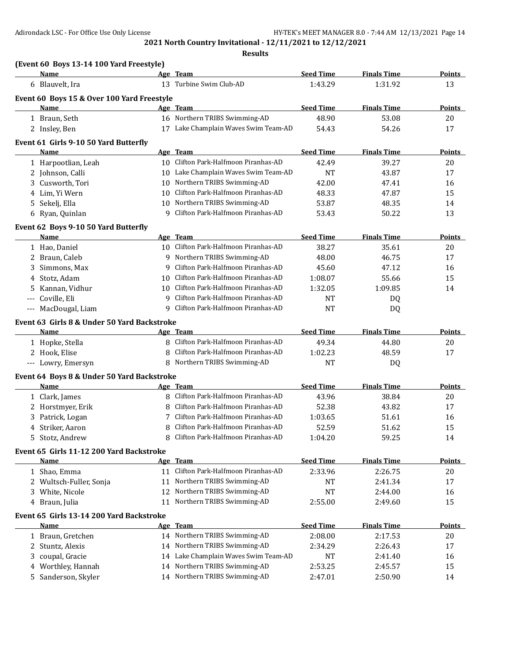|         | (Event 60 Boys 13-14 100 Yard Freestyle)<br>Name          |    | Age Team                                                           | <b>Seed Time</b>   | <b>Finals Time</b> | <b>Points</b>             |
|---------|-----------------------------------------------------------|----|--------------------------------------------------------------------|--------------------|--------------------|---------------------------|
|         | 6 Blauvelt, Ira                                           |    | 13 Turbine Swim Club-AD                                            | 1:43.29            | 1:31.92            | 13                        |
|         |                                                           |    |                                                                    |                    |                    |                           |
|         | Event 60 Boys 15 & Over 100 Yard Freestyle<br><b>Name</b> |    | Age Team                                                           | <b>Seed Time</b>   | <b>Finals Time</b> | Points                    |
|         | 1 Braun, Seth                                             |    | 16 Northern TRIBS Swimming-AD                                      | 48.90              | 53.08              | 20                        |
|         | 2 Insley, Ben                                             |    | 17 Lake Champlain Waves Swim Team-AD                               | 54.43              | 54.26              | 17                        |
|         |                                                           |    |                                                                    |                    |                    |                           |
|         | Event 61 Girls 9-10 50 Yard Butterfly<br>Name             |    | Age Team                                                           | <b>Seed Time</b>   | <b>Finals Time</b> |                           |
|         |                                                           |    | 10 Clifton Park-Halfmoon Piranhas-AD                               | 42.49              |                    | <b>Points</b>             |
|         | 1 Harpootlian, Leah                                       |    |                                                                    |                    | 39.27              | 20                        |
|         | 2 Johnson, Calli                                          |    | 10 Lake Champlain Waves Swim Team-AD<br>Northern TRIBS Swimming-AD | <b>NT</b>          | 43.87              | 17                        |
| 3       | Cusworth, Tori                                            | 10 | Clifton Park-Halfmoon Piranhas-AD                                  | 42.00              | 47.41              | 16                        |
|         | 4 Lim, Yi Wern                                            | 10 |                                                                    | 48.33              | 47.87              | 15                        |
| 5       | Sekelj, Ella                                              | q  | 10 Northern TRIBS Swimming-AD                                      | 53.87              | 48.35              | 14                        |
|         | 6 Ryan, Quinlan                                           |    | Clifton Park-Halfmoon Piranhas-AD                                  | 53.43              | 50.22              | 13                        |
|         | Event 62 Boys 9-10 50 Yard Butterfly                      |    |                                                                    |                    |                    |                           |
|         | Name                                                      |    | Age Team                                                           | <b>Seed Time</b>   | <b>Finals Time</b> | <b>Points</b>             |
|         | 1 Hao, Daniel                                             |    | 10 Clifton Park-Halfmoon Piranhas-AD                               | 38.27              | 35.61              | 20                        |
|         | 2 Braun, Caleb                                            |    | 9 Northern TRIBS Swimming-AD                                       | 48.00              | 46.75              | 17                        |
| 3       | Simmons, Max                                              | 9  | Clifton Park-Halfmoon Piranhas-AD                                  | 45.60              | 47.12              | 16                        |
| 4       | Stotz, Adam                                               | 10 | Clifton Park-Halfmoon Piranhas-AD                                  | 1:08.07            | 55.66              | 15                        |
| 5       | Kannan, Vidhur                                            | 10 | Clifton Park-Halfmoon Piranhas-AD                                  | 1:32.05            | 1:09.85            | 14                        |
|         | --- Coville, Eli                                          | 9  | Clifton Park-Halfmoon Piranhas-AD                                  | <b>NT</b>          | DQ                 |                           |
|         | --- MacDougal, Liam                                       | 9  | Clifton Park-Halfmoon Piranhas-AD                                  | <b>NT</b>          | DQ                 |                           |
|         | Event 63 Girls 8 & Under 50 Yard Backstroke               |    |                                                                    |                    |                    |                           |
|         | Name                                                      |    | Age Team                                                           | <b>Seed Time</b>   | <b>Finals Time</b> | <b>Points</b>             |
|         | 1 Hopke, Stella                                           |    | 8 Clifton Park-Halfmoon Piranhas-AD                                | 49.34              | 44.80              | 20                        |
|         | 2 Hook, Elise                                             | 8  | Clifton Park-Halfmoon Piranhas-AD                                  | 1:02.23            | 48.59              | 17                        |
|         | --- Lowry, Emersyn                                        |    | 8 Northern TRIBS Swimming-AD                                       | <b>NT</b>          | DQ                 |                           |
|         | Event 64 Boys 8 & Under 50 Yard Backstroke                |    |                                                                    |                    |                    |                           |
|         | Name                                                      |    | Age Team                                                           | <b>Seed Time</b>   | <b>Finals Time</b> | <b>Points</b>             |
|         | 1 Clark, James                                            |    |                                                                    |                    |                    |                           |
|         |                                                           |    |                                                                    |                    |                    |                           |
|         |                                                           |    | 8 Clifton Park-Halfmoon Piranhas-AD                                | 43.96              | 38.84              | 20                        |
|         | 2 Horstmyer, Erik                                         | 8  | Clifton Park-Halfmoon Piranhas-AD                                  | 52.38              | 43.82              | 17                        |
| 3       | Patrick, Logan                                            | 7  | Clifton Park-Halfmoon Piranhas-AD                                  | 1:03.65            | 51.61              | 16                        |
|         | 4 Striker, Aaron                                          | 8  | Clifton Park-Halfmoon Piranhas-AD                                  | 52.59              | 51.62              | 15                        |
|         | 5 Stotz, Andrew                                           | 8  | Clifton Park-Halfmoon Piranhas-AD                                  | 1:04.20            | 59.25              | 14                        |
|         | Event 65 Girls 11-12 200 Yard Backstroke                  |    |                                                                    |                    |                    |                           |
|         | Name                                                      |    | Age Team                                                           | <b>Seed Time</b>   | <b>Finals Time</b> | <b>Points</b>             |
|         | 1 Shao, Emma                                              |    | 11 Clifton Park-Halfmoon Piranhas-AD                               | 2:33.96            | 2:26.75            | 20                        |
|         | 2 Wultsch-Fuller, Sonja                                   | 11 | Northern TRIBS Swimming-AD                                         | NT                 | 2:41.34            | 17                        |
|         | 3 White, Nicole                                           | 12 | Northern TRIBS Swimming-AD                                         | NT                 | 2:44.00            | 16                        |
|         | 4 Braun, Julia                                            | 11 | Northern TRIBS Swimming-AD                                         | 2:55.00            | 2:49.60            | 15                        |
|         | Event 65 Girls 13-14 200 Yard Backstroke                  |    |                                                                    |                    |                    |                           |
|         | Name                                                      |    | Age Team                                                           | <b>Seed Time</b>   | <b>Finals Time</b> |                           |
|         | 1 Braun, Gretchen                                         |    | 14 Northern TRIBS Swimming-AD                                      | 2:08.00            | 2:17.53            | 20                        |
|         | 2 Stuntz, Alexis                                          |    | 14 Northern TRIBS Swimming-AD                                      | 2:34.29            | 2:26.43            | 17                        |
| 3       | coupal, Gracie                                            |    | 14 Lake Champlain Waves Swim Team-AD                               | NT                 | 2:41.40            | 16                        |
| 4<br>5. | Worthley, Hannah<br>Sanderson, Skyler                     |    | 14 Northern TRIBS Swimming-AD<br>14 Northern TRIBS Swimming-AD     | 2:53.25<br>2:47.01 | 2:45.57<br>2:50.90 | <b>Points</b><br>15<br>14 |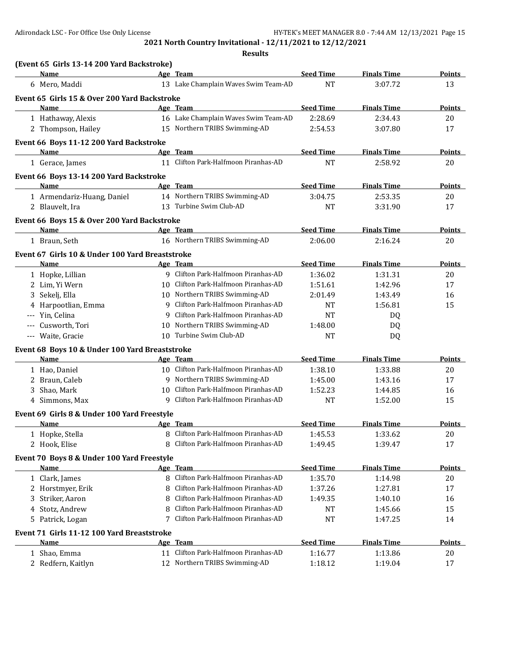|    | Name<br>6 Mero, Maddi<br>Event 65 Girls 15 & Over 200 Yard Backstroke<br>Name |    | Age Team<br>13 Lake Champlain Waves Swim Team-AD                     | <b>Seed Time</b><br><b>NT</b> | <b>Finals Time</b>            | <b>Points</b>          |
|----|-------------------------------------------------------------------------------|----|----------------------------------------------------------------------|-------------------------------|-------------------------------|------------------------|
|    |                                                                               |    |                                                                      |                               |                               | 13                     |
|    |                                                                               |    |                                                                      |                               | 3:07.72                       |                        |
|    |                                                                               |    |                                                                      |                               |                               |                        |
|    |                                                                               |    | Age Team<br>16 Lake Champlain Waves Swim Team-AD                     | <b>Seed Time</b><br>2:28.69   | <b>Finals Time</b><br>2:34.43 | <b>Points</b><br>20    |
|    | 1 Hathaway, Alexis<br>2 Thompson, Hailey                                      |    | 15 Northern TRIBS Swimming-AD                                        | 2:54.53                       | 3:07.80                       | 17                     |
|    |                                                                               |    |                                                                      |                               |                               |                        |
|    | Event 66 Boys 11-12 200 Yard Backstroke                                       |    |                                                                      |                               |                               |                        |
|    | <b>Name</b><br>1 Gerace, James                                                |    | Age Team<br>11 Clifton Park-Halfmoon Piranhas-AD                     | <b>Seed Time</b><br><b>NT</b> | <b>Finals Time</b><br>2:58.92 | <u>Points - </u><br>20 |
|    |                                                                               |    |                                                                      |                               |                               |                        |
|    | Event 66 Boys 13-14 200 Yard Backstroke                                       |    |                                                                      |                               |                               |                        |
|    | Name                                                                          |    | Age Team<br>14 Northern TRIBS Swimming-AD                            | <b>Seed Time</b>              | <b>Finals Time</b>            | Points                 |
|    | 1 Armendariz-Huang, Daniel<br>2 Blauvelt, Ira                                 |    | 13 Turbine Swim Club-AD                                              | 3:04.75<br><b>NT</b>          | 2:53.35<br>3:31.90            | 20<br>17               |
|    |                                                                               |    |                                                                      |                               |                               |                        |
|    | Event 66 Boys 15 & Over 200 Yard Backstroke<br><b>Name</b>                    |    | Age Team                                                             |                               |                               |                        |
|    | 1 Braun, Seth                                                                 |    | 16 Northern TRIBS Swimming-AD                                        | <b>Seed Time</b><br>2:06.00   | <b>Finals Time</b><br>2:16.24 | <b>Points</b><br>20    |
|    |                                                                               |    |                                                                      |                               |                               |                        |
|    | Event 67 Girls 10 & Under 100 Yard Breaststroke                               |    |                                                                      |                               |                               |                        |
|    | Name                                                                          |    | Age Team<br>9 Clifton Park-Halfmoon Piranhas-AD                      | <b>Seed Time</b><br>1:36.02   | <b>Finals Time</b>            | <b>Points</b>          |
|    | 1 Hopke, Lillian                                                              |    | 10 Clifton Park-Halfmoon Piranhas-AD                                 |                               | 1:31.31                       | 20                     |
|    | 2 Lim, Yi Wern                                                                |    |                                                                      | 1:51.61                       | 1:42.96                       | 17                     |
|    | 3 Sekelj, Ella                                                                |    | 10 Northern TRIBS Swimming-AD<br>9 Clifton Park-Halfmoon Piranhas-AD | 2:01.49                       | 1:43.49                       | 16                     |
|    | 4 Harpootlian, Emma                                                           |    | 9 Clifton Park-Halfmoon Piranhas-AD                                  | <b>NT</b>                     | 1:56.81                       | 15                     |
|    | --- Yin, Celina                                                               |    | 10 Northern TRIBS Swimming-AD                                        | <b>NT</b>                     | DQ                            |                        |
|    | --- Cusworth, Tori<br>--- Waite, Gracie                                       |    | 10 Turbine Swim Club-AD                                              | 1:48.00<br><b>NT</b>          | DQ<br>DQ                      |                        |
|    |                                                                               |    |                                                                      |                               |                               |                        |
|    | Event 68 Boys 10 & Under 100 Yard Breaststroke                                |    |                                                                      |                               |                               |                        |
|    | Name                                                                          |    | Age Team<br>10 Clifton Park-Halfmoon Piranhas-AD                     | <b>Seed Time</b>              | <b>Finals Time</b>            | Points                 |
|    | 1 Hao, Daniel                                                                 |    | 9 Northern TRIBS Swimming-AD                                         | 1:38.10                       | 1:33.88                       | 20                     |
|    | 2 Braun, Caleb<br>Shao, Mark                                                  |    | 10 Clifton Park-Halfmoon Piranhas-AD                                 | 1:45.00                       | 1:43.16                       | 17                     |
| 3  |                                                                               |    | 9 Clifton Park-Halfmoon Piranhas-AD                                  | 1:52.23<br><b>NT</b>          | 1:44.85                       | 16                     |
|    | 4 Simmons, Max                                                                |    |                                                                      |                               | 1:52.00                       | 15                     |
|    | Event 69 Girls 8 & Under 100 Yard Freestyle                                   |    |                                                                      |                               |                               |                        |
|    | <b>Name</b>                                                                   |    | Age Team                                                             | <b>Seed Time</b>              | <b>Finals Time</b>            | <u>Points </u>         |
|    | 1 Hopke, Stella                                                               | 8  | Clifton Park-Halfmoon Piranhas-AD                                    | 1:45.53                       | 1:33.62                       | $20\,$                 |
|    | 2 Hook, Elise                                                                 | 8  | Clifton Park-Halfmoon Piranhas-AD                                    | 1:49.45                       | 1:39.47                       | 17                     |
|    | Event 70 Boys 8 & Under 100 Yard Freestyle                                    |    |                                                                      |                               |                               |                        |
|    | Name                                                                          |    | Age Team                                                             | <b>Seed Time</b>              | <b>Finals Time</b>            | <b>Points</b>          |
|    | 1 Clark, James                                                                |    | 8 Clifton Park-Halfmoon Piranhas-AD                                  | 1:35.70                       | 1:14.98                       | 20                     |
|    | 2 Horstmyer, Erik                                                             |    | Clifton Park-Halfmoon Piranhas-AD                                    | 1:37.26                       | 1:27.81                       | 17                     |
| 3. | Striker, Aaron                                                                |    | Clifton Park-Halfmoon Piranhas-AD                                    | 1:49.35                       | 1:40.10                       | 16                     |
|    | 4 Stotz, Andrew                                                               |    | Clifton Park-Halfmoon Piranhas-AD                                    | <b>NT</b>                     | 1:45.66                       | 15                     |
|    | 5 Patrick, Logan                                                              |    | 7 Clifton Park-Halfmoon Piranhas-AD                                  | <b>NT</b>                     | 1:47.25                       | 14                     |
|    | Event 71 Girls 11-12 100 Yard Breaststroke                                    |    |                                                                      |                               |                               |                        |
|    | Name                                                                          |    | Age Team                                                             | <b>Seed Time</b>              | <b>Finals Time</b>            | <b>Points</b>          |
|    | 1 Shao, Emma                                                                  | 11 | Clifton Park-Halfmoon Piranhas-AD                                    | 1:16.77                       | 1:13.86                       | 20                     |
|    | 2 Redfern, Kaitlyn                                                            | 12 | Northern TRIBS Swimming-AD                                           | 1:18.12                       | 1:19.04                       | 17                     |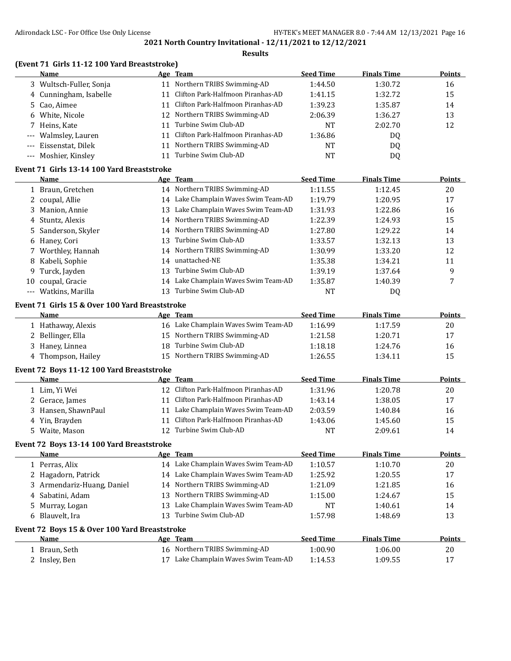|             | (Event 71 Girls 11-12 100 Yard Breaststroke)<br>Name |    | Age Team                             | <b>Seed Time</b> | <b>Finals Time</b> | <b>Points</b>       |
|-------------|------------------------------------------------------|----|--------------------------------------|------------------|--------------------|---------------------|
|             | 3 Wultsch-Fuller, Sonja                              |    | 11 Northern TRIBS Swimming-AD        | 1:44.50          | 1:30.72            | 16                  |
| 4           | Cunningham, Isabelle                                 |    | 11 Clifton Park-Halfmoon Piranhas-AD | 1:41.15          | 1:32.72            | 15                  |
| 5.          | Cao, Aimee                                           |    | 11 Clifton Park-Halfmoon Piranhas-AD | 1:39.23          | 1:35.87            | 14                  |
| 6           | White, Nicole                                        |    | 12 Northern TRIBS Swimming-AD        | 2:06.39          | 1:36.27            | 13                  |
|             | 7 Heins, Kate                                        | 11 | Turbine Swim Club-AD                 | <b>NT</b>        | 2:02.70            | 12                  |
| $-\, -\, -$ | Walmsley, Lauren                                     |    | 11 Clifton Park-Halfmoon Piranhas-AD | 1:36.86          | DQ                 |                     |
| $\cdots$    | Eissenstat, Dilek                                    |    | 11 Northern TRIBS Swimming-AD        | <b>NT</b>        | DQ                 |                     |
|             | --- Moshier, Kinsley                                 |    | 11 Turbine Swim Club-AD              | <b>NT</b>        | DQ                 |                     |
|             | Event 71 Girls 13-14 100 Yard Breaststroke           |    |                                      |                  |                    |                     |
|             | Name                                                 |    | Age Team                             | <b>Seed Time</b> | <b>Finals Time</b> | Points              |
|             | 1 Braun, Gretchen                                    |    | 14 Northern TRIBS Swimming-AD        | 1:11.55          | 1:12.45            | 20                  |
|             | 2 coupal, Allie                                      |    | 14 Lake Champlain Waves Swim Team-AD | 1:19.79          | 1:20.95            | 17                  |
| 3           | Manion, Annie                                        | 13 | Lake Champlain Waves Swim Team-AD    | 1:31.93          | 1:22.86            | 16                  |
| 4           | Stuntz, Alexis                                       | 14 | Northern TRIBS Swimming-AD           | 1:22.39          | 1:24.93            | 15                  |
| 5           | Sanderson, Skyler                                    | 14 | Northern TRIBS Swimming-AD           | 1:27.80          | 1:29.22            | 14                  |
| 6           | Haney, Cori                                          | 13 | Turbine Swim Club-AD                 | 1:33.57          | 1:32.13            | 13                  |
| 7           | Worthley, Hannah                                     | 14 | Northern TRIBS Swimming-AD           | 1:30.99          | 1:33.20            | 12                  |
| 8           | Kabeli, Sophie                                       | 14 | unattached-NE                        | 1:35.38          | 1:34.21            | 11                  |
| 9           | Turck, Jayden                                        | 13 | Turbine Swim Club-AD                 | 1:39.19          | 1:37.64            | 9                   |
| 10          | coupal, Gracie                                       | 14 | Lake Champlain Waves Swim Team-AD    | 1:35.87          | 1:40.39            | 7                   |
|             | --- Watkins, Marilla                                 | 13 | Turbine Swim Club-AD                 | <b>NT</b>        | DQ                 |                     |
|             | Event 71 Girls 15 & Over 100 Yard Breaststroke       |    |                                      |                  |                    |                     |
|             | Name                                                 |    | Age Team                             | <b>Seed Time</b> | <b>Finals Time</b> | Points              |
|             | 1 Hathaway, Alexis                                   |    | 16 Lake Champlain Waves Swim Team-AD | 1:16.99          | 1:17.59            | 20                  |
|             | 2 Bellinger, Ella                                    | 15 | Northern TRIBS Swimming-AD           | 1:21.58          | 1:20.71            | 17                  |
| 3           | Haney, Linnea                                        | 18 | Turbine Swim Club-AD                 | 1:18.18          | 1:24.76            | 16                  |
|             | 4 Thompson, Hailey                                   |    | 15 Northern TRIBS Swimming-AD        | 1:26.55          | 1:34.11            | 15                  |
|             | Event 72 Boys 11-12 100 Yard Breaststroke            |    |                                      |                  |                    |                     |
|             | Name                                                 |    | Age Team                             | <b>Seed Time</b> | <b>Finals Time</b> | Points              |
|             | 1 Lim, Yi Wei                                        |    | 12 Clifton Park-Halfmoon Piranhas-AD | 1:31.96          | 1:20.78            | 20                  |
|             | 2 Gerace, James                                      |    | 11 Clifton Park-Halfmoon Piranhas-AD | 1:43.14          | 1:38.05            | 17                  |
| 3           | Hansen, ShawnPaul                                    |    | 11 Lake Champlain Waves Swim Team-AD | 2:03.59          | 1:40.84            | 16                  |
|             | 4 Yin, Brayden                                       |    | 11 Clifton Park-Halfmoon Piranhas-AD | 1:43.06          | 1:45.60            | 15                  |
|             | 5 Waite, Mason                                       |    | 12 Turbine Swim Club-AD              | <b>NT</b>        | 2:09.61            | 14                  |
|             | Event 72 Boys 13-14 100 Yard Breaststroke            |    |                                      |                  |                    |                     |
|             | <u>Name</u>                                          |    | Age Team                             | <b>Seed Time</b> | <b>Finals Time</b> | <b>Points</b>       |
|             | 1 Perras, Alix                                       |    | 14 Lake Champlain Waves Swim Team-AD | 1:10.57          | 1:10.70            | 20                  |
|             | 2 Hagadorn, Patrick                                  |    | 14 Lake Champlain Waves Swim Team-AD | 1:25.92          | 1:20.55            | 17                  |
|             | 3 Armendariz-Huang, Daniel                           |    | 14 Northern TRIBS Swimming-AD        | 1:21.09          | 1:21.85            | 16                  |
| 4           | Sabatini, Adam                                       |    | 13 Northern TRIBS Swimming-AD        | 1:15.00          | 1:24.67            | 15                  |
| 5           | Murray, Logan                                        | 13 | Lake Champlain Waves Swim Team-AD    | NT               | 1:40.61            | 14                  |
| 6           | Blauvelt, Ira                                        | 13 | Turbine Swim Club-AD                 | 1:57.98          | 1:48.69            | 13                  |
|             |                                                      |    |                                      |                  |                    |                     |
|             | Event 72 Boys 15 & Over 100 Yard Breaststroke        |    |                                      |                  |                    |                     |
|             | Name                                                 |    | Age Team                             | <b>Seed Time</b> | <b>Finals Time</b> |                     |
|             | 1 Braun, Seth                                        |    | 16 Northern TRIBS Swimming-AD        | 1:00.90          | 1:06.00            | <b>Points</b><br>20 |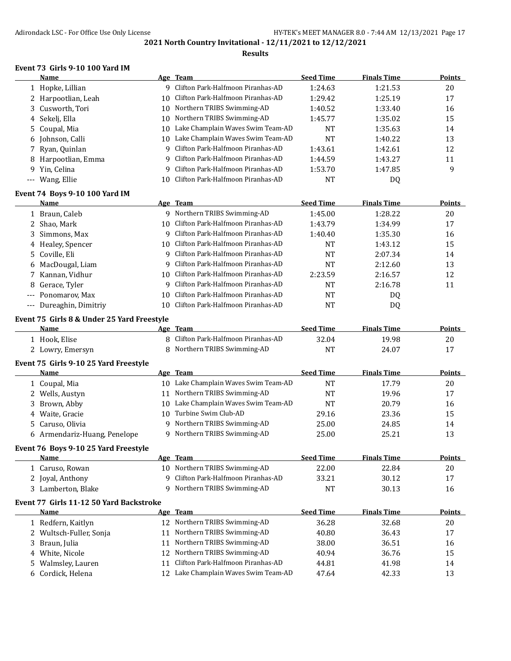### **Results**

## **Event 73 Girls 9-10 100 Yard IM**

|    | Name                                       |    | Age Team                             | <b>Seed Time</b> | <b>Finals Time</b> | <b>Points</b> |
|----|--------------------------------------------|----|--------------------------------------|------------------|--------------------|---------------|
|    | 1 Hopke, Lillian                           |    | 9 Clifton Park-Halfmoon Piranhas-AD  | 1:24.63          | 1:21.53            | 20            |
|    | 2 Harpootlian, Leah                        | 10 | Clifton Park-Halfmoon Piranhas-AD    | 1:29.42          | 1:25.19            | 17            |
| 3  | Cusworth, Tori                             |    | 10 Northern TRIBS Swimming-AD        | 1:40.52          | 1:33.40            | 16            |
| 4  | Sekelj, Ella                               | 10 | Northern TRIBS Swimming-AD           | 1:45.77          | 1:35.02            | 15            |
| 5. | Coupal, Mia                                |    | 10 Lake Champlain Waves Swim Team-AD | <b>NT</b>        | 1:35.63            | 14            |
| 6  | Johnson, Calli                             | 10 | Lake Champlain Waves Swim Team-AD    | <b>NT</b>        | 1:40.22            | 13            |
| 7  | Ryan, Quinlan                              |    | 9 Clifton Park-Halfmoon Piranhas-AD  | 1:43.61          | 1:42.61            | 12            |
| 8  | Harpootlian, Emma                          | 9  | Clifton Park-Halfmoon Piranhas-AD    | 1:44.59          | 1:43.27            | 11            |
| 9  | Yin, Celina                                | 9  | Clifton Park-Halfmoon Piranhas-AD    | 1:53.70          | 1:47.85            | 9             |
|    | --- Wang, Ellie                            | 10 | Clifton Park-Halfmoon Piranhas-AD    | <b>NT</b>        | DQ                 |               |
|    | Event 74 Boys 9-10 100 Yard IM             |    |                                      |                  |                    |               |
|    | Name                                       |    | Age Team                             | <b>Seed Time</b> | <b>Finals Time</b> | <b>Points</b> |
|    | 1 Braun, Caleb                             |    | 9 Northern TRIBS Swimming-AD         | 1:45.00          | 1:28.22            | 20            |
|    | 2 Shao, Mark                               | 10 | Clifton Park-Halfmoon Piranhas-AD    | 1:43.79          | 1:34.99            | 17            |
| 3  | Simmons, Max                               |    | 9 Clifton Park-Halfmoon Piranhas-AD  | 1:40.40          | 1:35.30            | 16            |
|    | 4 Healey, Spencer                          | 10 | Clifton Park-Halfmoon Piranhas-AD    | <b>NT</b>        | 1:43.12            | 15            |
| 5. | Coville, Eli                               |    | 9 Clifton Park-Halfmoon Piranhas-AD  | NT               | 2:07.34            | 14            |
| 6  | MacDougal, Liam                            | 9  | Clifton Park-Halfmoon Piranhas-AD    | <b>NT</b>        | 2:12.60            | 13            |
| 7  | Kannan, Vidhur                             | 10 | Clifton Park-Halfmoon Piranhas-AD    | 2:23.59          | 2:16.57            | 12            |
| 8  | Gerace, Tyler                              | 9  | Clifton Park-Halfmoon Piranhas-AD    | <b>NT</b>        | 2:16.78            | 11            |
|    | Ponomarov, Max                             | 10 | Clifton Park-Halfmoon Piranhas-AD    | <b>NT</b>        | DQ                 |               |
|    | --- Dureaghin, Dimitriy                    |    | 10 Clifton Park-Halfmoon Piranhas-AD | <b>NT</b>        | DQ                 |               |
|    |                                            |    |                                      |                  |                    |               |
|    | Event 75 Girls 8 & Under 25 Yard Freestyle |    |                                      | <b>Seed Time</b> |                    |               |
|    | Name                                       |    | Age Team                             |                  | <b>Finals Time</b> | Points        |
|    | 1 Hook, Elise                              |    | 8 Clifton Park-Halfmoon Piranhas-AD  | 32.04            | 19.98              | 20            |
|    | 2 Lowry, Emersyn                           |    | 8 Northern TRIBS Swimming-AD         | <b>NT</b>        | 24.07              | 17            |
|    | Event 75 Girls 9-10 25 Yard Freestyle      |    |                                      |                  |                    |               |
|    | <u>Name</u>                                |    | Age Team                             | <b>Seed Time</b> | <b>Finals Time</b> | <b>Points</b> |
|    | 1 Coupal, Mia                              |    | 10 Lake Champlain Waves Swim Team-AD | <b>NT</b>        | 17.79              | 20            |
|    | 2 Wells, Austyn                            |    | 11 Northern TRIBS Swimming-AD        | <b>NT</b>        | 19.96              | 17            |
| 3  | Brown, Abby                                |    | 10 Lake Champlain Waves Swim Team-AD | <b>NT</b>        | 20.79              | 16            |
|    | 4 Waite, Gracie                            |    | 10 Turbine Swim Club-AD              | 29.16            | 23.36              | 15            |
|    | 5 Caruso, Olivia                           |    | 9 Northern TRIBS Swimming-AD         | 25.00            | 24.85              | 14            |
|    | 6 Armendariz-Huang, Penelope               |    | 9 Northern TRIBS Swimming-AD         | 25.00            | 25.21              | 13            |
|    | Event 76 Boys 9-10 25 Yard Freestyle       |    |                                      |                  |                    |               |
|    | Name                                       |    | Age Team                             | <b>Seed Time</b> | <b>Finals Time</b> | <b>Points</b> |
|    | 1 Caruso, Rowan                            | 10 | Northern TRIBS Swimming-AD           | 22.00            | 22.84              | 20            |
|    | 2 Joyal, Anthony                           |    | 9 Clifton Park-Halfmoon Piranhas-AD  | 33.21            | 30.12              | 17            |
|    | 3 Lamberton, Blake                         |    | 9 Northern TRIBS Swimming-AD         | NT               | 30.13              | 16            |
|    | Event 77 Girls 11-12 50 Yard Backstroke    |    |                                      |                  |                    |               |
|    | <b>Name</b>                                |    | Age Team                             | <b>Seed Time</b> | <b>Finals Time</b> | <b>Points</b> |
|    | 1 Redfern, Kaitlyn                         | 12 | Northern TRIBS Swimming-AD           | 36.28            | 32.68              | 20            |
| 2  | Wultsch-Fuller, Sonja                      | 11 | Northern TRIBS Swimming-AD           | 40.80            | 36.43              | 17            |
|    |                                            | 11 | Northern TRIBS Swimming-AD           | 38.00            | 36.51              | 16            |
| 3  | Braun, Julia<br>White, Nicole              |    | Northern TRIBS Swimming-AD           |                  |                    | 15            |
| 4  |                                            | 12 | Clifton Park-Halfmoon Piranhas-AD    | 40.94            | 36.76              |               |
| 5. | Walmsley, Lauren                           | 11 |                                      | 44.81            | 41.98              | 14            |
|    | 6 Cordick, Helena                          |    | 12 Lake Champlain Waves Swim Team-AD | 47.64            | 42.33              | 13            |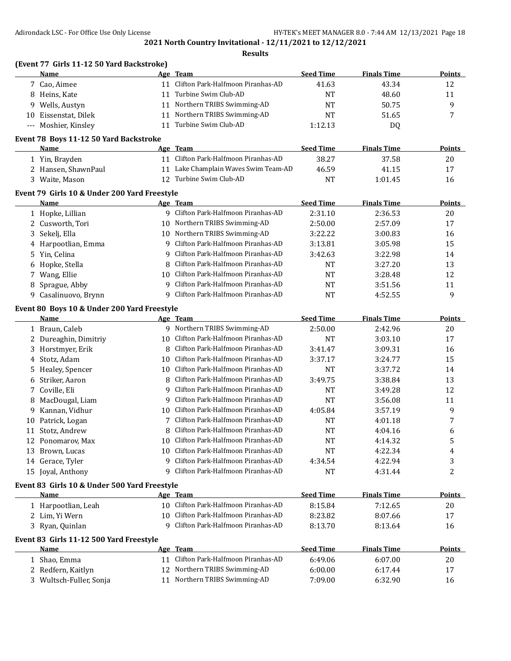|    |                                              |          | <b>Results</b>                                   |                           |                    |                     |
|----|----------------------------------------------|----------|--------------------------------------------------|---------------------------|--------------------|---------------------|
|    | (Event 77 Girls 11-12 50 Yard Backstroke)    |          | Age Team                                         |                           |                    |                     |
|    | <b>Name</b>                                  |          | Clifton Park-Halfmoon Piranhas-AD                | <b>Seed Time</b>          | <b>Finals Time</b> | Points              |
|    | 7 Cao, Aimee                                 | 11       | Turbine Swim Club-AD                             | 41.63                     | 43.34              | 12                  |
|    | 8 Heins, Kate                                | 11       | Northern TRIBS Swimming-AD                       | <b>NT</b>                 | 48.60              | 11                  |
| 9  | Wells, Austyn                                | 11       |                                                  | <b>NT</b>                 | 50.75              | 9                   |
|    | 10 Eissenstat, Dilek                         | 11       | Northern TRIBS Swimming-AD                       | <b>NT</b>                 | 51.65              | 7                   |
|    | --- Moshier, Kinsley                         | 11       | Turbine Swim Club-AD                             | 1:12.13                   | DQ                 |                     |
|    | Event 78 Boys 11-12 50 Yard Backstroke       |          |                                                  |                           |                    |                     |
|    | Name<br>1 Yin, Brayden                       |          | Age Team<br>11 Clifton Park-Halfmoon Piranhas-AD | <b>Seed Time</b><br>38.27 | <b>Finals Time</b> | <b>Points</b><br>20 |
|    |                                              |          | Lake Champlain Waves Swim Team-AD                |                           | 37.58              |                     |
|    | 2 Hansen, ShawnPaul                          | 11<br>12 | Turbine Swim Club-AD                             | 46.59                     | 41.15              | 17                  |
|    | 3 Waite, Mason                               |          |                                                  | NT                        | 1:01.45            | 16                  |
|    | Event 79 Girls 10 & Under 200 Yard Freestyle |          |                                                  |                           |                    |                     |
|    | Name                                         |          | Age Team                                         | <b>Seed Time</b>          | <b>Finals Time</b> | Points              |
|    | 1 Hopke, Lillian                             |          | 9 Clifton Park-Halfmoon Piranhas-AD              | 2:31.10                   | 2:36.53            | 20                  |
|    | 2 Cusworth, Tori                             |          | 10 Northern TRIBS Swimming-AD                    | 2:50.00                   | 2:57.09            | 17                  |
| 3  | Sekelj, Ella                                 |          | 10 Northern TRIBS Swimming-AD                    | 3:22.22                   | 3:00.83            | 16                  |
|    | 4 Harpootlian, Emma                          | 9        | Clifton Park-Halfmoon Piranhas-AD                | 3:13.81                   | 3:05.98            | 15                  |
|    | 5 Yin, Celina                                | 9        | Clifton Park-Halfmoon Piranhas-AD                | 3:42.63                   | 3:22.98            | 14                  |
| 6  | Hopke, Stella                                | 8        | Clifton Park-Halfmoon Piranhas-AD                | <b>NT</b>                 | 3:27.20            | 13                  |
|    | 7 Wang, Ellie                                | 10       | Clifton Park-Halfmoon Piranhas-AD                | <b>NT</b>                 | 3:28.48            | 12                  |
| 8  | Sprague, Abby                                | q        | Clifton Park-Halfmoon Piranhas-AD                | <b>NT</b>                 | 3:51.56            | 11                  |
| 9  | Casalinuovo, Brynn                           |          | 9 Clifton Park-Halfmoon Piranhas-AD              | <b>NT</b>                 | 4:52.55            | 9                   |
|    | Event 80 Boys 10 & Under 200 Yard Freestyle  |          |                                                  |                           |                    |                     |
|    | Name                                         |          | Age Team                                         | <b>Seed Time</b>          | <b>Finals Time</b> | Points              |
|    | 1 Braun, Caleb                               |          | 9 Northern TRIBS Swimming-AD                     | 2:50.00                   | 2:42.96            | 20                  |
|    | 2 Dureaghin, Dimitriy                        | 10       | Clifton Park-Halfmoon Piranhas-AD                | <b>NT</b>                 | 3:03.10            | 17                  |
|    | 3 Horstmyer, Erik                            | 8        | Clifton Park-Halfmoon Piranhas-AD                | 3:41.47                   | 3:09.31            | 16                  |
|    | 4 Stotz, Adam                                | 10       | Clifton Park-Halfmoon Piranhas-AD                | 3:37.17                   | 3:24.77            | 15                  |
|    | 5 Healey, Spencer                            | 10       | Clifton Park-Halfmoon Piranhas-AD                | <b>NT</b>                 | 3:37.72            | 14                  |
| 6  | Striker, Aaron                               | 8        | Clifton Park-Halfmoon Piranhas-AD                | 3:49.75                   | 3:38.84            | 13                  |
|    | 7 Coville, Eli                               | 9        | Clifton Park-Halfmoon Piranhas-AD                | <b>NT</b>                 | 3:49.28            | 12                  |
| 8  | MacDougal, Liam                              | 9        | Clifton Park-Halfmoon Piranhas-AD                | <b>NT</b>                 | 3:56.08            | 11                  |
| 9. | Kannan, Vidhur                               | 10       | Clifton Park-Halfmoon Piranhas-AD                | 4:05.84                   | 3:57.19            | 9                   |
|    |                                              |          | Clifton Park-Halfmoon Piranhas-AD                |                           |                    | 7                   |
|    | 10 Patrick, Logan                            |          | Clifton Park-Halfmoon Piranhas-AD                | NT                        | 4:01.18            |                     |
|    | 11 Stotz, Andrew                             |          |                                                  | <b>NT</b>                 | 4:04.16            | 6                   |
|    | 12 Ponomarov, Max                            | 10       | Clifton Park-Halfmoon Piranhas-AD                | NT                        | 4:14.32            | 5                   |
|    | 13 Brown, Lucas                              | 10       | Clifton Park-Halfmoon Piranhas-AD                | NT                        | 4:22.34            | 4                   |
|    | 14 Gerace, Tyler                             | 9        | Clifton Park-Halfmoon Piranhas-AD                | 4:34.54                   | 4:22.94            | 3                   |
|    | 15 Joyal, Anthony                            |          | 9 Clifton Park-Halfmoon Piranhas-AD              | NT                        | 4:31.44            | 2                   |
|    | Event 83 Girls 10 & Under 500 Yard Freestyle |          |                                                  |                           |                    |                     |
|    | Name                                         |          | Age Team                                         | <b>Seed Time</b>          | <b>Finals Time</b> | <b>Points</b>       |
|    | 1 Harpootlian, Leah                          |          | 10 Clifton Park-Halfmoon Piranhas-AD             | 8:15.84                   | 7:12.65            | 20                  |
|    | 2 Lim, Yi Wern                               | 10.      | Clifton Park-Halfmoon Piranhas-AD                | 8:23.82                   | 8:07.66            | 17                  |
|    | 3 Ryan, Quinlan                              | 9        | Clifton Park-Halfmoon Piranhas-AD                | 8:13.70                   | 8:13.64            | 16                  |
|    | Event 83 Girls 11-12 500 Yard Freestyle      |          |                                                  |                           |                    |                     |
|    | Name                                         |          | Age Team                                         | <b>Seed Time</b>          | <b>Finals Time</b> | <b>Points</b>       |
|    | 1 Shao, Emma                                 |          | 11 Clifton Park-Halfmoon Piranhas-AD             | 6:49.06                   | 6:07.00            | 20                  |
|    | 2 Redfern, Kaitlyn                           | 12       | Northern TRIBS Swimming-AD                       | 6:00.00                   | 6:17.44            | 17                  |
|    | 3 Wultsch-Fuller, Sonja                      | 11       | Northern TRIBS Swimming-AD                       | 7:09.00                   | 6:32.90            | 16                  |
|    |                                              |          |                                                  |                           |                    |                     |